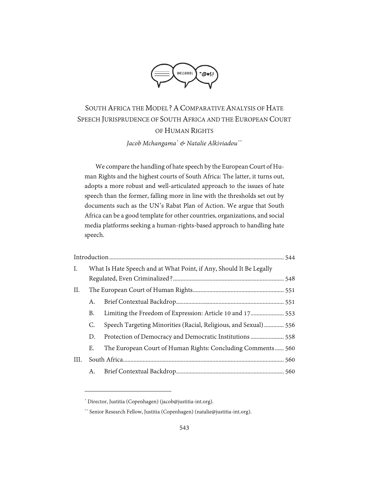

# SOUTH AFRICA THE MODEL? ACOMPARATIVE ANALYSIS OF HATE SPEECH JURISPRUDENCE OF SOUTH AFRICA AND THE EUROPEAN COURT OF HUMAN RIGHTS *Jacob Mchangama[\\*](#page-0-0) & Natalie Alkiviadou[\\*\\*](#page-0-1)*

We compare the handling of hate speech by the European Court of Human Rights and the highest courts of South Africa: The latter, it turns out, adopts a more robust and well-articulated approach to the issues of hate speech than the former, falling more in line with the thresholds set out by documents such as the UN's Rabat Plan of Action. We argue that South Africa can be a good template for other countries, organizations, and social media platforms seeking a human-rights-based approach to handling hate speech.

| Ι.   | What Is Hate Speech and at What Point, if Any, Should It Be Legally |                                                                 |  |
|------|---------------------------------------------------------------------|-----------------------------------------------------------------|--|
|      |                                                                     |                                                                 |  |
| П.   |                                                                     |                                                                 |  |
|      | А.                                                                  |                                                                 |  |
|      | В.                                                                  | Limiting the Freedom of Expression: Article 10 and 17 553       |  |
|      | C.                                                                  | Speech Targeting Minorities (Racial, Religious, and Sexual) 556 |  |
|      | D.                                                                  |                                                                 |  |
|      | Е.                                                                  | The European Court of Human Rights: Concluding Comments 560     |  |
| III. |                                                                     |                                                                 |  |
|      | А.                                                                  |                                                                 |  |

<span id="page-0-0"></span><sup>\*</sup> Director, Justitia (Copenhagen) (jacob@justitia-int.org).

<span id="page-0-1"></span><sup>\*\*</sup> Senior Research Fellow, Justitia (Copenhagen) (natalie@justitia-int.org).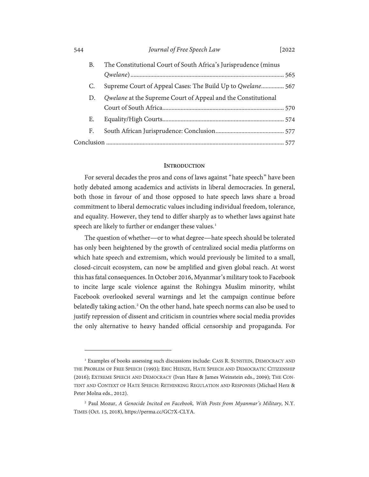| 544 |    | Journal of Free Speech Law<br>2022                              |  |
|-----|----|-----------------------------------------------------------------|--|
|     | В. | The Constitutional Court of South Africa's Jurisprudence (minus |  |
|     |    |                                                                 |  |
|     | C. | Supreme Court of Appeal Cases: The Build Up to Qwelane 567      |  |
|     | D. | Qwelane at the Supreme Court of Appeal and the Constitutional   |  |
|     |    |                                                                 |  |
|     | Е. |                                                                 |  |
|     | F. |                                                                 |  |
|     |    |                                                                 |  |

#### **INTRODUCTION**

<span id="page-1-0"></span>For several decades the pros and cons of laws against "hate speech" have been hotly debated among academics and activists in liberal democracies. In general, both those in favour of and those opposed to hate speech laws share a broad commitment to liberal democratic values including individual freedom, tolerance, and equality. However, they tend to differ sharply as to whether laws against hate speech are likely to further or endanger these values.<sup>[1](#page-1-1)</sup>

The question of whether—or to what degree—hate speech should be tolerated has only been heightened by the growth of centralized social media platforms on which hate speech and extremism, which would previously be limited to a small, closed-circuit ecosystem, can now be amplified and given global reach. At worst this has fatal consequences. In October 2016, Myanmar's military took to Facebook to incite large scale violence against the Rohingya Muslim minority, whilst Facebook overlooked several warnings and let the campaign continue before belatedly taking action.<sup>[2](#page-1-2)</sup> On the other hand, hate speech norms can also be used to justify repression of dissent and criticism in countries where social media provides the only alternative to heavy handed official censorship and propaganda. For

<span id="page-1-1"></span><sup>1</sup> Examples of books assessing such discussions include: CASS R. SUNSTEIN, DEMOCRACY AND THE PROBLEM OF FREE SPEECH (1993)*;* ERIC HEINZE, HATE SPEECH AND DEMOCRATIC CITIZENSHIP (2016); EXTREME SPEECH AND DEMOCRACY (Ivan Hare & James Weinstein eds., 2009); THE CON-TENT AND CONTEXT OF HATE SPEECH: RETHINKING REGULATION AND RESPONSES (Michael Herz & Peter Molna eds., 2012).

<span id="page-1-2"></span><sup>2</sup> Paul Mozur, *A Genocide Incited on Facebook, With Posts from Myanmar's Military*, N.Y. TIMES (Oct. 15, 2018), https://perma.cc/GC7X-CLYA.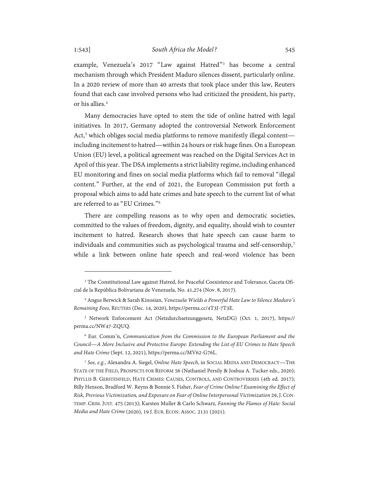example, Venezuela's 2017 "Law against Hatred"[3](#page-2-0) has become a central mechanism through which President Maduro silences dissent, particularly online. In a 2020 review of more than 40 arrests that took place under this law, Reuters found that each case involved persons who had criticized the president, his party, or his allies.[4](#page-2-1)

Many democracies have opted to stem the tide of online hatred with legal initiatives. In 2017, Germany adopted the controversial Network Enforcement Act, [5](#page-2-2) which obliges social media platforms to remove manifestly illegal content including incitement to hatred—within 24 hours or risk huge fines. On a European Union (EU) level, a political agreement was reached on the Digital Services Act in April of this year. The DSA implements a strict liability regime, including enhanced EU monitoring and fines on social media platforms which fail to removal "illegal content." Further, at the end of 2021, the European Commission put forth a proposal which aims to add hate crimes and hate speech to the current list of what are referred to as "EU Crimes."[6](#page-2-3)

There are compelling reasons as to why open and democratic societies, committed to the values of freedom, dignity, and equality, should wish to counter incitement to hatred. Research shows that hate speech can cause harm to individuals and communities such as psychological trauma and self-censorship,<sup>[7](#page-2-4)</sup> while a link between online hate speech and real-word violence has been

<span id="page-2-0"></span><sup>&</sup>lt;sup>3</sup> The Constitutional Law against Hatred, for Peaceful Coexistence and Tolerance, Gaceta Oficial de la República Bolivariana de Venezuela, No. 41,274 (Nov. 8, 2017).

<span id="page-2-1"></span><sup>4</sup> Angus Berwick & Sarah Kinosian, *Venezuela Wields a Powerful Hate Law to Silence Maduro's Remaining Foes,* REUTERS (Dec. 14, 2020), https://perma.cc/4T3J-7T3E.

<span id="page-2-2"></span><sup>5</sup> Network Enforcement Act (Netzdurchsetzunggesetz, NetzDG) (Oct. 1, 2017), https:// perma.cc/NW47-ZQUQ.

<span id="page-2-3"></span><sup>6</sup> Eur. Comm'n, *Communication from the Commission to the European Parliament and the Council—A More Inclusive and Protective Europe: Extending the List of EU Crimes to Hate Speech and Hate Crime* (Sept. 12, 2021), https://perma.cc/MV62-G76L.

<span id="page-2-4"></span><sup>7</sup> *See, e.g.*, Alexandra A. Siegel, *Online Hate Speech*, in SOCIAL MEDIA AND [DEMOCRACY—](https://www.cambridge.org/core/books/social-media-and-democracy/E79E2BBF03C18C3A56A5CC393698F117)THE STATE OF THE FIELD, PROSPECTS FOR REFORM 56 (Nathaniel Persily & Joshua A. Tucker eds., 2020); PHYLLIS B. GERSTENFELD, HATE CRIMES: CAUSES, CONTROLS, AND CONTROVERSIES (4th ed. 2017); [Billy Henson,](https://journals.sagepub.com/doi/abs/10.1177/1043986213507403) [Bradford W. Reyns](https://journals.sagepub.com/doi/abs/10.1177/1043986213507403) & [Bonnie S. Fisher,](https://journals.sagepub.com/doi/abs/10.1177/1043986213507403) *Fear of Crime Online? Examining the Effect of Risk, Previous Victimization, and Exposure on Fear of Online Interpersonal Victimization* 29, J.CON-TEMP. CRIM. JUST. 475 (2013); Karsten Muller & Carlo Schwarz, *Fanning the Flames of Hate: Social Media and Hate Crime*(2020), 19 J. EUR. ECON. ASSOC. 2131 (2021).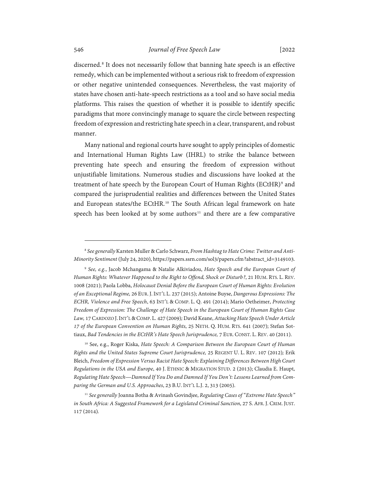discerned.[8](#page-3-0) It does not necessarily follow that banning hate speech is an effective remedy, which can be implemented without a serious risk to freedom of expression or other negative unintended consequences. Nevertheless, the vast majority of states have chosen anti-hate-speech restrictions as a tool and so have social media platforms. This raises the question of whether it is possible to identify specific paradigms that more convincingly manage to square the circle between respecting freedom of expression and restricting hate speech in a clear, transparent, and robust manner.

Many national and regional courts have sought to apply principles of domestic and International Human Rights Law (IHRL) to strike the balance between preventing hate speech and ensuring the freedom of expression without unjustifiable limitations. Numerous studies and discussions have looked at the treatment of hate speech by the European Court of Human Rights (ECtHR)<sup>[9](#page-3-1)</sup> and compared the jurisprudential realities and differences between the United States and European states/the ECtHR.<sup>[10](#page-3-2)</sup> The South African legal framework on hate speech has been looked at by some authors<sup>[11](#page-3-3)</sup> and there are a few comparative

<span id="page-3-4"></span><span id="page-3-0"></span><sup>8</sup> *See generally* Karsten Muller & Carlo Schwarz, *From Hashtag to Hate Crime: Twitter and Anti-Minority Sentiment* (July 24, 2020), https://papers.ssrn.com/sol3/papers.cfm?abstract\_id=3149103.

<span id="page-3-1"></span><sup>9</sup> *See, e.g.*, Jacob Mchangama & Natalie Alkiviadou, *Hate Speech and the European Court of Human Rights: Whatever Happened to the Right to Offend, Shock or Disturb?*, 21 HUM. RTS. L. REV. 1008 (2021); Paola Lobba, *Holocaust Denial Before the European Court of Human Rights: Evolution of an Exceptional Regime,* 26 EUR.J.INT'L L. 237 (2015); Antoine Buyse, *Dangerous Expressions: The ECHR, Violence and Free Speech*, 63 INT'L & COMP. L. Q. 491 (2014); Mario Oetheimer, *Protecting Freedom of Expression: The Challenge of Hate Speech in the European Court of Human Rights Case Law,* 17 CARDOZOJ.INT'L &COMP. L. 427 (2009)*;* David Keane, *Attacking Hate Speech Under Article 17 of the European Convention on Human Rights*, 25 NETH. Q. HUM. RTS. 641 (2007); Stefan Sottiaux, *Bad Tendencies in the ECtHR's Hate Speech Jurisprudence,* 7 EUR. CONST. L. REV. 40 (2011).

<span id="page-3-2"></span><sup>10</sup> See, e.g., Roger Kiska, *Hate Speech: A Comparison Between the European Court of Human Rights and the United States Supreme Court Jurisprudence,* 25 REGENT U. L. REV. 107 (2012)*;* Erik Bleich, *Freedom of Expression Versus Racist Hate Speech: Explaining Differences Between High Court Regulations in the USA and Europe*, 40 J. ETHNIC & MIGRATION STUD. 2 (2013); Claudia E. Haupt, *Regulating Hate Speech—Damned If You Do and Damned If You Don't: Lessons Learned from Comparing the German and U.S. Approaches*, 23 B.U. INT'L L.J. 2, 313 (2005).

<span id="page-3-3"></span><sup>11</sup> *See generally* [Joanna Botha](https://journals.co.za/doi/abs/10.10520/EJC167858) [& Avinash Govindjee,](https://journals.co.za/doi/abs/10.10520/EJC167858) *Regulating Cases of "Extreme Hate Speech" in South Africa: A Suggested Framework for a Legislated Criminal Sanction*, 27 S. AFR. J. CRIM. JUST. 117 (2014)*.*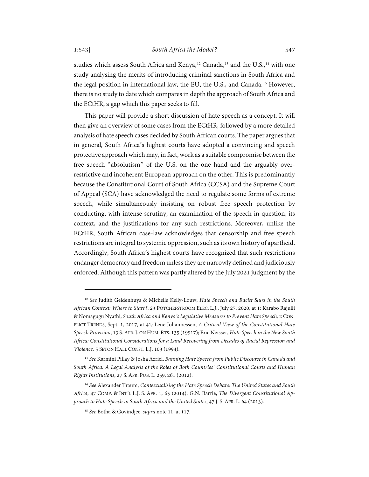<span id="page-4-5"></span><span id="page-4-4"></span>studies which assess South Africa and Kenya,<sup>[12](#page-4-0)</sup> Canada,<sup>[13](#page-4-1)</sup> and the U.S.,<sup>[14](#page-4-2)</sup> with one study analysing the merits of introducing criminal sanctions in South Africa and the legal position in international law, the EU, the U.S., and Canada.[15](#page-4-3) However, there is no study to date which compares in depth the approach of South Africa and the ECtHR, a gap which this paper seeks to fill.

This paper will provide a short discussion of hate speech as a concept. It will then give an overview of some cases from the ECtHR, followed by a more detailed analysis of hate speech cases decided by South African courts. The paper argues that in general*,* South Africa's highest courts have adopted a convincing and speech protective approach which may, in fact, work as a suitable compromise between the free speech "absolutism" of the U.S. on the one hand and the arguably overrestrictive and incoherent European approach on the other. This is predominantly because the Constitutional Court of South Africa (CCSA) and the Supreme Court of Appeal (SCA) have acknowledged the need to regulate some forms of extreme speech, while simultaneously insisting on robust free speech protection by conducting, with intense scrutiny, an examination of the speech in question, its context, and the justifications for any such restrictions. Moreover, unlike the ECtHR, South African case-law acknowledges that censorship and free speech restrictions are integral to systemic oppression, such as its own history of apartheid. Accordingly, South Africa's highest courts have recognized that such restrictions endanger democracy and freedom unless they are narrowly defined and judiciously enforced. Although this pattern was partly altered by the July 2021 judgment by the

<span id="page-4-0"></span><sup>12</sup> *See* Judith Geldenhuys & Michelle Kelly-Louw, *Hate Speech and Racist Slurs in the South African Context: Where to Start?*, 23 POTCHEFSTROOM ELEC. L.J., July 27, 2020, at 1*;* [Karabo Rajuili](https://journals.co.za/doi/abs/10.10520/EJC-95737f6ea) & [Nomagugu Nyathi,](https://journals.co.za/doi/abs/10.10520/EJC-95737f6ea) *South Africa and Kenya's Legislative Measures to Prevent Hate Speech,* 2 CON-FLICT TRENDS, Sept. 1, 2017, at 41*;* [Lene Johannessen,](https://www.tandfonline.com/author/Johannessen%2C+Lene) *A Critical View of the Constitutional Hate Speech Provision*, 13 S.AFR.J. ON HUM.RTS. 135 (19917); Eric Neisser, *Hate Speech in the New South Africa: Constitutional Considerations for a Land Recovering from Decades of Racial Repression and Violence,* 5 SETON HALL CONST. L.J. 103 (1994).

<span id="page-4-1"></span><sup>13</sup> *See* Karmini Pillay & Josha Azriel, *Banning Hate Speech from Public Discourse in Canada and South Africa: A Legal Analysis of the Roles of Both Countries*' *Constitutional Courts and Human Rights Institutions*, 27 S. AFR. PUB. L. 259, 261 (2012).

<span id="page-4-3"></span><span id="page-4-2"></span><sup>14</sup> *See* Alexander Traum, *Contextualising the Hate Speech Debate: The United States and South Africa*, 47 COMP. & INT'L L.J. S. AFR. 1, 65 (2014); G.N. Barrie, *The Divergent Constitutional Approach to Hate Speech in South Africa and the United States*, 47 J. S. AFR. L. 64 (2013).

<sup>15</sup> *See* Botha & Govindjee, *supra* not[e 11,](#page-3-4) at 117.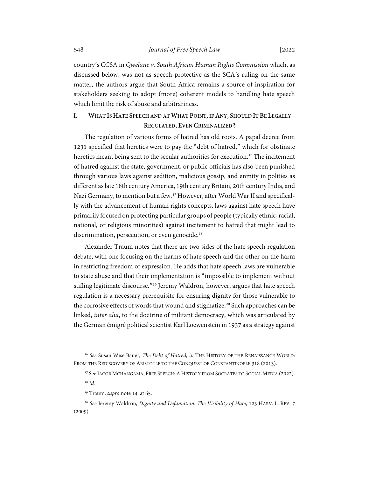country's CCSA in *Qwelane v. South African Human Rights Commission* which, as discussed below, was not as speech-protective as the SCA's ruling on the same matter, the authors argue that South Africa remains a source of inspiration for stakeholders seeking to adopt (more) coherent models to handling hate speech which limit the risk of abuse and arbitrariness.

# <span id="page-5-0"></span>**I. WHAT IS HATE SPEECH AND AT WHAT POINT, IF ANY, SHOULD IT BE LEGALLY REGULATED, EVEN CRIMINALIZED?**

The regulation of various forms of hatred has old roots. A papal decree from 1231 specified that heretics were to pay the "debt of hatred," which for obstinate heretics meant being sent to the secular authorities for execution.<sup>[16](#page-5-1)</sup> The incitement of hatred against the state, government, or public officials has also been punished through various laws against sedition, malicious gossip, and enmity in polities as different as late 18th century America, 19th century Britain, 20th century India, and Nazi Germany, to mention but a few.[17](#page-5-2) However, after World War II and specifically with the advancement of human rights concepts, laws against hate speech have primarily focused on protecting particular groups of people (typically ethnic, racial, national, or religious minorities) against incitement to hatred that might lead to discrimination, persecution, or even genocide.<sup>[18](#page-5-3)</sup>

Alexander Traum notes that there are two sides of the hate speech regulation debate, with one focusing on the harms of hate speech and the other on the harm in restricting freedom of expression. He adds that hate speech laws are vulnerable to state abuse and that their implementation is "impossible to implement without stifling legitimate discourse."<sup>[19](#page-5-4)</sup> Jeremy Waldron, however, argues that hate speech regulation is a necessary prerequisite for ensuring dignity for those vulnerable to the corrosive effects of words that wound and stigmatize.<sup>[20](#page-5-5)</sup> Such approaches can be linked, *inter alia*, to the doctrine of militant democracy, which was articulated by the German émigré political scientist Karl Loewenstein in 1937 as a strategy against

<sup>17</sup> See JACOB MCHANGAMA, FREE SPEECH: A HISTORY FROM SOCRATES TO SOCIAL MEDIA (2022).

<span id="page-5-2"></span><span id="page-5-1"></span><sup>16</sup> *See* Susan Wise Bauer, *The Debt of Hatred, in* THE HISTORY OF THE RENAISSANCE WORLD: FROM THE REDISCOVERY OF ARISTOTLE TO THE CONQUEST OF CONSTANTINOPLE 318 (2013).

<sup>18</sup> *Id.*

<sup>19</sup> Traum, *supra* not[e 14,](#page-4-4) at 65.

<span id="page-5-5"></span><span id="page-5-4"></span><span id="page-5-3"></span><sup>20</sup> *See* Jeremy Waldron, *Dignity and Defamation: The Visibility of Hate*, 123 HARV. L. REV. 7 (2009).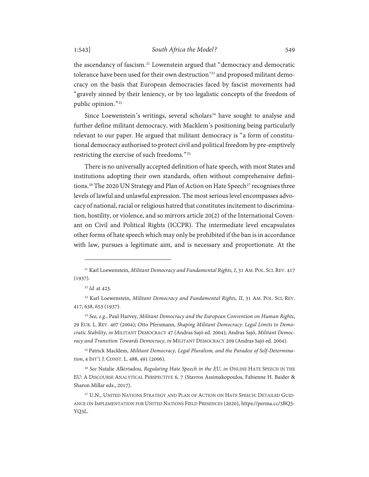the ascendancy of fascism.<sup>[21](#page-6-0)</sup> Lowenstein argued that "democracy and democratic tolerance have been used for their own destruction' [22](#page-6-1) and proposed militant democracy on the basis that European democracies faced by fascist movements had "gravely sinned by their leniency, or by too legalistic concepts of the freedom of public opinion."[23](#page-6-2)

Since Loewenstein's writings, several scholars<sup>[24](#page-6-3)</sup> have sought to analyse and further define militant democracy, with Macklem's positioning being particularly relevant to our paper. He argued that militant democracy is "a form of constitutional democracy authorised to protect civil and political freedom by pre-emptively restricting the exercise of such freedoms."[25](#page-6-4)

There is no universally accepted definition of hate speech, with most States and institutions adopting their own standards, often without comprehensive defini-tions.<sup>[26](#page-6-5)</sup> The 2020 UN Strategy and Plan of Action on Hate Speech<sup>[27](#page-6-6)</sup> recognises three levels of lawful and unlawful expression. The most serious level encompasses advocacy of national, racial or religious hatred that constitutes incitement to discrimination, hostility, or violence, and so mirrors article 20(2) of the International Covenant on Civil and Political Rights (ICCPR). The intermediate level encapsulates other forms of hate speech which may only be prohibited if the ban is in accordance with law, pursues a legitimate aim, and is necessary and proportionate. At the

<span id="page-6-0"></span><sup>21</sup> Karl Loewenstein, *Militant Democracy and Fundamental Rights, I*, 31 AM. POL. SCI. REV. 417 (1937).

<sup>22</sup> *Id.* at 423.

<span id="page-6-2"></span><span id="page-6-1"></span><sup>23</sup> Karl Loewenstein, *Militant Democracy and Fundamental Rights, II*, 31 AM. POL. SCI. REV. 417, 638, 653 (1937).

<span id="page-6-3"></span><sup>24</sup> *See, e.g.*, Paul Harvey, *Militant Democracy and the European Convention on Human Rights*, 29 EUR. L. REV. 407 (2004); Otto Pfersmann, *Shaping Militant Democracy: Legal Limits to Democratic Stability*, *in* MILITANT DEMOCRACY 47 (Andras Sajó ed. 2004); Andras Sajó, *Militant Democracy and Transition Towards Democracy*, *in* MILITANT DEMOCRACY 209 (Andras Sajó ed. 2004).

<span id="page-6-4"></span><sup>25</sup> Patrick Macklem, *Militant Democracy, Legal Pluralism, and the Paradox of Self-Determination*, 4 INT'L J. CONST. L. 488, 491 (2006).

<span id="page-6-5"></span><sup>26</sup> *See* Natalie Alkiviadou, *Regulating Hate Speech in the EU, in* ONLINE HATE SPEECH IN THE EU: A DISCOURSE ANALYTICAL PERSPECTIVE 6, 7 (Stavros Assimakopoulos, Fabienne H. Baider & Sharon Millar eds., 2017).

<span id="page-6-6"></span><sup>&</sup>lt;sup>27</sup> U.N., UNITED NATIONS STRATEGY AND PLAN OF ACTION ON HATE SPEECH: DETAILED GUID-ANCE ON IMPLEMENTATION FOR UNITED NATIONS FIELD PRESENCES (2020), https://perma.cc/3BQ3- YQ3L.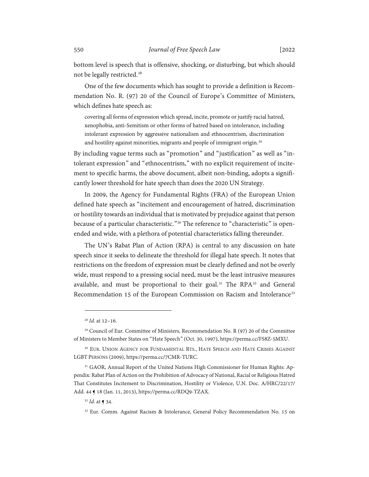bottom level is speech that is offensive, shocking, or disturbing, but which should not be legally restricted.<sup>[28](#page-7-0)</sup>

One of the few documents which has sought to provide a definition is Recommendation No. R. (97) 20 of the Council of Europe's Committee of Ministers, which defines hate speech as:

covering all forms of expression which spread, incite, promote or justify racial hatred, xenophobia, anti-Semitism or other forms of hatred based on intolerance, including intolerant expression by aggressive nationalism and ethnocentrism, discrimination and hostility against minorities, migrants and people of immigrant origin.<sup>[29](#page-7-1)</sup>

By including vague terms such as "promotion" and "justification" as well as "intolerant expression" and "ethnocentrism," with no explicit requirement of incitement to specific harms, the above document, albeit non-binding, adopts a significantly lower threshold for hate speech than does the 2020 UN Strategy.

In 2009, the Agency for Fundamental Rights (FRA) of the European Union defined hate speech as "incitement and encouragement of hatred, discrimination or hostility towards an individual that is motivated by prejudice against that person because of a particular characteristic."<sup>[30](#page-7-2)</sup> The reference to "characteristic" is openended and wide, with a plethora of potential characteristics falling thereunder.

The UN's Rabat Plan of Action (RPA) is central to any discussion on hate speech since it seeks to delineate the threshold for illegal hate speech. It notes that restrictions on the freedom of expression must be clearly defined and not be overly wide, must respond to a pressing social need, must be the least intrusive measures available, and must be proportional to their goal.<sup>[31](#page-7-3)</sup> The RPA<sup>[32](#page-7-4)</sup> and General Recommendation 15 of the European Commission on Racism and Intolerance<sup>[33](#page-7-5)</sup>

<sup>28</sup> *Id.* at 12–16.

<span id="page-7-1"></span><span id="page-7-0"></span><sup>29</sup> Council of Eur. Committee of Ministers, Recommendation No. R (97) 20 of the Committee of Ministers to Member States on "Hate Speech" (Oct. 30, 1997), https://perma.cc/FS8Z-5MXU.

<span id="page-7-2"></span><sup>&</sup>lt;sup>30</sup> EUR. UNION AGENCY FOR FUNDAMENTAL RTS., HATE SPEECH AND HATE CRIMES AGAINST LGBT PERSONS (2009), https://perma.cc/7CMR-TURC.

<span id="page-7-4"></span><span id="page-7-3"></span><sup>31</sup> GAOR, Annual Report of the United Nations High Commissioner for Human Rights: Appendix: Rabat Plan of Action on the Prohibition of Advocacy of National, Racial or Religious Hatred That Constitutes Incitement to Discrimination, Hostility or Violence, U.N. Doc. A/HRC/22/17/ Add. 44 ¶ 18 (Jan. 11, 2013), https://perma.cc/RDQ9-TZAX.

<sup>32</sup> *Id.* at ¶ 34.

<span id="page-7-5"></span><sup>33</sup> Eur. Comm. Against Racism & Intolerance, General Policy Recommendation No. 15 on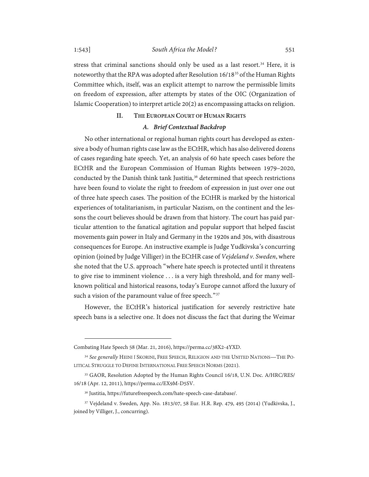stress that criminal sanctions should only be used as a last resort.<sup>[34](#page-8-2)</sup> Here, it is noteworthy that the RPA was adopted after Resolution 16/18[35](#page-8-3) of the Human Rights Committee which, itself, was an explicit attempt to narrow the permissible limits

# <span id="page-8-0"></span>Islamic Cooperation) to interpret article 20(2) as encompassing attacks on religion. **II. THE EUROPEAN COURT OF HUMAN RIGHTS**

on freedom of expression, after attempts by states of the OIC (Organization of

#### *A. Brief Contextual Backdrop*

<span id="page-8-1"></span>No other international or regional human rights court has developed as extensive a body of human rights case law as the ECtHR, which has also delivered dozens of cases regarding hate speech. Yet, an analysis of 60 hate speech cases before the ECtHR and the European Commission of Human Rights between 1979–2020, conducted by the Danish think tank Justitia, $3<sup>6</sup>$  determined that speech restrictions have been found to violate the right to freedom of expression in just over one out of three hate speech cases. The position of the ECtHR is marked by the historical experiences of totalitarianism, in particular Nazism, on the continent and the lessons the court believes should be drawn from that history. The court has paid particular attention to the fanatical agitation and popular support that helped fascist movements gain power in Italy and Germany in the 1920s and 30s, with disastrous consequences for Europe. An instructive example is Judge Yudkivska's concurring opinion (joined by Judge Villiger) in the ECtHR case of *Vejdeland v. Sweden*, where she noted that the U.S. approach "where hate speech is protected until it threatens to give rise to imminent violence . . . is a very high threshold, and for many wellknown political and historical reasons, today's Europe cannot afford the luxury of such a vision of the paramount value of free speech."<sup>[37](#page-8-5)</sup>

However, the ECtHR's historical justification for severely restrictive hate speech bans is a selective one. It does not discuss the fact that during the Weimar

Combating Hate Speech 58 (Mar. 21, 2016), https://perma.cc/38X2-4YXD.

<span id="page-8-2"></span><sup>34</sup> *See generally* HEINI Í SKORINI, FREE SPEECH, RELIGION AND THE UNITED NATIONS—THE PO-LITICAL STRUGGLE TO DEFINE INTERNATIONAL FREE SPEECH NORMS (2021).

<span id="page-8-3"></span><sup>35</sup> GAOR, Resolution Adopted by the Human Rights Council 16/18, U.N. Doc. A/HRC/RES/ 16/18 (Apr. 12, 2011), https://perma.cc/EX9M-D5SV.

<sup>36</sup> Justitia[, https://futurefreespeech.com/hate-speech-case-database/.](https://futurefreespeech.com/hate-speech-case-database/)

<span id="page-8-5"></span><span id="page-8-4"></span><sup>37</sup> Vejdeland v. Sweden, App. No. 1813/07, 58 Eur. H.R. Rep. 479, 495 (2014) (Yudkivska, J., joined by Villiger, J., concurring).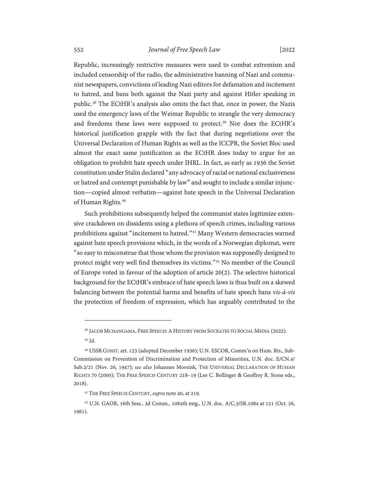## 552 *Journal of Free Speech Law* [2022

Republic, increasingly restrictive measures were used to combat extremism and included censorship of the radio, the administrative banning of Nazi and communist newspapers, convictions of leading Nazi editors for defamation and incitement to hatred, and bans both against the Nazi party and against Hitler speaking in public.[38](#page-9-1) The ECtHR's analysis also omits the fact that, once in power, the Nazis used the emergency laws of the Weimar Republic to strangle the very democracy and freedoms these laws were supposed to protect.<sup>[39](#page-9-2)</sup> Nor does the ECtHR's historical justification grapple with the fact that during negotiations over the Universal Declaration of Human Rights as well as the ICCPR, the Soviet Bloc used almost the exact same justification as the ECtHR does today to argue for an obligation to prohibit hate speech under IHRL. In fact, as early as 1936 the Soviet constitution under Stalin declared "any advocacy of racial or national exclusiveness or hatred and contempt punishable by law" and sought to include a similar injunction—copied almost verbatim—against hate speech in the Universal Declaration of Human Rights. [40](#page-9-3)

<span id="page-9-0"></span>Such prohibitions subsequently helped the communist states legitimize extensive crackdown on dissidents using a plethora of speech crimes, including various prohibitions against "incitement to hatred."[41](#page-9-4) Many Western democracies warned against hate speech provisions which, in the words of a Norwegian diplomat, were "so easy to misconstrue that those whom the provision was supposedly designed to protect might very well find themselves its victims."[42](#page-9-5) No member of the Council of Europe voted in favour of the adoption of article 20(2). The selective historical background for the ECtHR's embrace of hate speech laws is thus built on a skewed balancing between the potential harms and benefits of hate speech bans *vis-à-vis* the protection of freedom of expression, which has arguably contributed to the

<sup>&</sup>lt;sup>38</sup> JACOB MCHANGAMA, FREE SPEECH: A HISTORY FROM SOCRATES TO SOCIAL MEDIA (2022).

<sup>39</sup> *Id.*

<span id="page-9-3"></span><span id="page-9-2"></span><span id="page-9-1"></span><sup>40</sup> USSR CONST. art. 123 (adopted December 1936); U.N. ESCOR, Comm'n on Hum. Rts., Sub-Commission on Prevention of Discrimination and Protection of Minorities, U.N. doc. E/CN.4/ Sub.2/21 (Nov. 26, 1947); *see also* Johannes Morsink*,* THE UNIVERSAL DECLARATION OF HUMAN RIGHTS 70 (2000); THE FREE SPEECH CENTURY 218–19 (Lee C. Bollinger & Geoffrey R. Stone eds., 2018).

<sup>41</sup> THE FREE SPEECH CENTURY, *supra* not[e 40,](#page-9-0) at 219.

<span id="page-9-5"></span><span id="page-9-4"></span><sup>42</sup> U.N. GAOR, 16th Sess., 3d Comm., 1084th mtg., U.N. doc. A/C.3/SR.1084 at 121 (Oct. 26, 1961).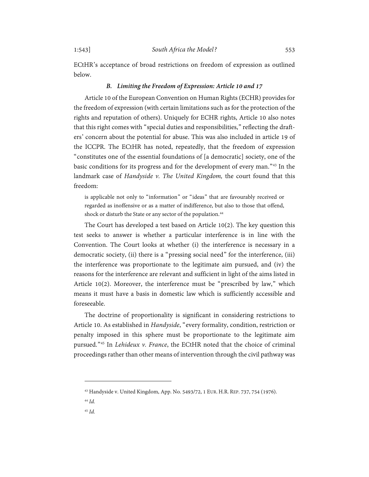ECtHR's acceptance of broad restrictions on freedom of expression as outlined below.

## *B. Limiting the Freedom of Expression: Article 10 and 17*

<span id="page-10-0"></span>Article 10 of the European Convention on Human Rights (ECHR) provides for the freedom of expression (with certain limitations such as for the protection of the rights and reputation of others). Uniquely for ECHR rights, Article 10 also notes that this right comes with "special duties and responsibilities," reflecting the drafters' concern about the potential for abuse. This was also included in article 19 of the ICCPR. The ECtHR has noted, repeatedly, that the freedom of expression "constitutes one of the essential foundations of [a democratic] society, one of the basic conditions for its progress and for the development of every man."[43](#page-10-1) In the landmark case of *Handyside v. The United Kingdom,* the court found that this freedom:

is applicable not only to "information" or "ideas" that are favourably received or regarded as inoffensive or as a matter of indifference, but also to those that offend, shock or disturb the State or any sector of the population. [44](#page-10-2)

The Court has developed a test based on Article 10(2). The key question this test seeks to answer is whether a particular interference is in line with the Convention. The Court looks at whether (i) the interference is necessary in a democratic society, (ii) there is a "pressing social need" for the interference, (iii) the interference was proportionate to the legitimate aim pursued, and (iv) the reasons for the interference are relevant and sufficient in light of the aims listed in Article 10(2). Moreover, the interference must be "prescribed by law," which means it must have a basis in domestic law which is sufficiently accessible and foreseeable.

The doctrine of proportionality is significant in considering restrictions to Article 10. As established in *Handyside*, "every formality, condition, restriction or penalty imposed in this sphere must be proportionate to the legitimate aim pursued."[45](#page-10-3) In *Lehideux v. France*, the ECtHR noted that the choice of criminal proceedings rather than other means of intervention through the civil pathway was

<span id="page-10-3"></span><span id="page-10-2"></span><sup>44</sup> *Id.*

<span id="page-10-1"></span><sup>43</sup> Handyside v. United Kingdom, App. No. 5493/72, 1 EUR. H.R. REP. 737, 754 (1976).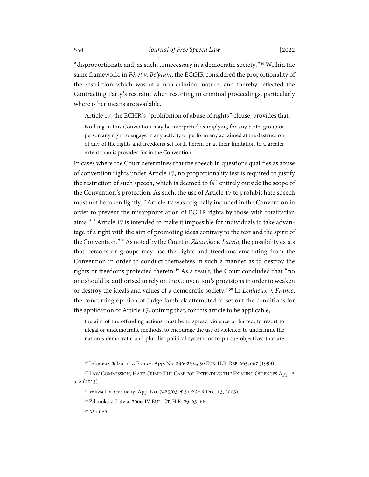"disproportionate and, as such, unnecessary in a democratic society."[46](#page-11-0) Within the same framework, in *Féret v. Belgium*, the ECtHR considered the proportionality of the restriction which was of a non-criminal nature, and thereby reflected the Contracting Party's restraint when resorting to criminal proceedings, particularly where other means are available.

Article 17, the ECHR's "prohibition of abuse of rights" clause, provides that:

Nothing in this Convention may be interpreted as implying for any State, group or person any right to engage in any activity or perform any act aimed at the destruction of any of the rights and freedoms set forth herein or at their limitation to a greater extent than is provided for in the Convention.

In cases where the Court determines that the speech in questions qualifies as abuse of convention rights under Article 17, no proportionality test is required to justify the restriction of such speech, which is deemed to fall entirely outside the scope of the Convention's protection. As such, the use of Article 17 to prohibit hate speech must not be taken lightly. "Article 17 was originally included in the Convention in order to prevent the misappropriation of ECHR rights by those with totalitarian aims."[47](#page-11-1) Article 17 is intended to make it impossible for individuals to take advantage of a right with the aim of promoting ideas contrary to the text and the spirit of the Convention."[48](#page-11-2)As noted by the Court in *Ždanoka v. Latvia*, the possibility exists that persons or groups may use the rights and freedoms emanating from the Convention in order to conduct themselves in such a manner as to destroy the rights or freedoms protected therein.<sup>[49](#page-11-3)</sup> As a result, the Court concluded that "no one should be authorised to rely on the Convention's provisions in order to weaken or destroy the ideals and values of a democratic society."[50](#page-11-4) In *Lehideux v. France*, the concurring opinion of Judge Jambrek attempted to set out the conditions for the application of Article 17, opining that, for this article to be applicable,

the aim of the offending actions must be to spread violence or hatred, to resort to illegal or undemocratic methods, to encourage the use of violence, to undermine the nation's democratic and pluralist political system, or to pursue objectives that are

<sup>46</sup> Lehideux & Isorni v. France, App. No. 24662/94, 30 EUR. H.R. REP. 665, 667 (1998).

<span id="page-11-4"></span><span id="page-11-3"></span><span id="page-11-2"></span><span id="page-11-1"></span><span id="page-11-0"></span><sup>47</sup> LAW COMMISSION, HATE CRIME: THE CASE FOR EXTENDING THE EXISTING OFFENCES App. A at 8 (2013).

<sup>48</sup> Witzsch v. Germany, App. No. 7485/03, ¶ 3 (ECHR Dec. 13, 2005).

<sup>49</sup> Ždanoka v. Latvia, 2006-IV EUR. CT. H.R. 29, 65–66.

<sup>50</sup> *Id.* at 66.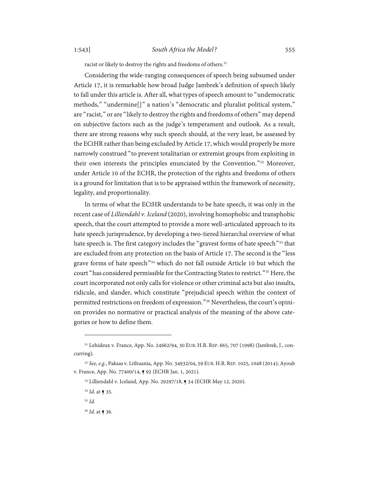racist or likely to destroy the rights and freedoms of others.<sup>[51](#page-12-0)</sup>

Considering the wide-ranging consequences of speech being subsumed under Article 17, it is remarkable how broad Judge Jambrek's definition of speech likely to fall under this article is. After all, what types of speech amount to "undemocratic methods," "undermine[]" a nation's "democratic and pluralist political system," are "racist," or are "likely to destroy the rights and freedoms of others" may depend on subjective factors such as the judge's temperament and outlook. As a result, there are strong reasons why such speech should, at the very least, be assessed by the ECtHR rather than being excluded by Article 17, which would properly be more narrowly construed "to prevent totalitarian or extremist groups from exploiting in their own interests the principles enunciated by the Convention."[52](#page-12-1) Moreover, under Article 10 of the ECHR, the protection of the rights and freedoms of others is a ground for limitation that is to be appraised within the framework of necessity, legality, and proportionality.

In terms of what the ECtHR understands to be hate speech, it was only in the recent case of *Lilliendahl v. Iceland* (2020), involving homophobic and transphobic speech, that the court attempted to provide a more well-articulated approach to its hate speech jurisprudence, by developing a two-tiered hierarchal overview of what hate speech is. The first category includes the "gravest forms of hate speech"<sup>[53](#page-12-2)</sup> that are excluded from any protection on the basis of Article 17. The second is the "less grave forms of hate speech"[54](#page-12-3) which do not fall outside Article 10 but which the court "has considered permissible for the Contracting States to restrict."[55](#page-12-4) Here, the court incorporated not only calls for violence or other criminal acts but also insults, ridicule, and slander, which constitute "prejudicial speech within the context of permitted restrictions on freedom of expression."<sup>[56](#page-12-5)</sup> Nevertheless, the court's opinion provides no normative or practical analysis of the meaning of the above categories or how to define them.

<span id="page-12-0"></span><sup>51</sup> Lehideux v. France, App. No. 24662/94, 30 EUR. H.R. REP. 665, 707 (1998) (Jambrek, J., concurring).

<span id="page-12-4"></span><span id="page-12-3"></span><span id="page-12-2"></span><span id="page-12-1"></span><sup>52</sup> *See, e.g.*, Paksas v. Lithuania, App. No. 34932/04, 59 EUR. H.R. REP. 1025, 1048 (2014); Ayoub v. France, App. No. 77400/14, ¶ 92 (ECHR Jan. 1, 2021).

<sup>53</sup> Lilliendahl v. Iceland, App. No. 29297/18, ¶ 34 (ECHR May 12, 2020).

<sup>54</sup> *Id.* at ¶ 35.

<sup>55</sup> *Id.*

<span id="page-12-5"></span><sup>56</sup> *Id.* at ¶ 36.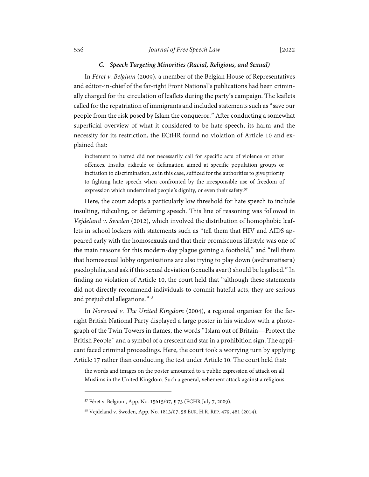#### *C. Speech Targeting Minorities (Racial, Religious, and Sexual)*

<span id="page-13-0"></span>In *Féret v. Belgium* (2009)*,* a member of the Belgian House of Representatives and editor-in-chief of the far-right Front National's publications had been criminally charged for the circulation of leaflets during the party's campaign. The leaflets called for the repatriation of immigrants and included statements such as "save our people from the risk posed by Islam the conqueror." After conducting a somewhat superficial overview of what it considered to be hate speech, its harm and the necessity for its restriction, the ECtHR found no violation of Article 10 and explained that:

incitement to hatred did not necessarily call for specific acts of violence or other offences. Insults, ridicule or defamation aimed at specific population groups or incitation to discrimination, as in this case, sufficed for the authorities to give priority to fighting hate speech when confronted by the irresponsible use of freedom of expression which undermined people's dignity, or even their safety.<sup>[57](#page-13-1)</sup>

Here, the court adopts a particularly low threshold for hate speech to include insulting, ridiculing, or defaming speech. This line of reasoning was followed in *Vejdeland v. Sweden* (2012), which involved the distribution of homophobic leaflets in school lockers with statements such as "tell them that HIV and AIDS appeared early with the homosexuals and that their promiscuous lifestyle was one of the main reasons for this modern-day plague gaining a foothold," and "tell them that homosexual lobby organisations are also trying to play down (avdramatisera) paedophilia, and ask if this sexual deviation (sexuella avart) should be legalised." In finding no violation of Article 10, the court held that "although these statements did not directly recommend individuals to commit hateful acts, they are serious and prejudicial allegations."[58](#page-13-2)

In *Norwood v. The United Kingdom* (2004), a regional organiser for the farright British National Party displayed a large poster in his window with a photograph of the Twin Towers in flames, the words "Islam out of Britain—Protect the British People" and a symbol of a crescent and star in a prohibition sign. The applicant faced criminal proceedings. Here, the court took a worrying turn by applying Article 17 rather than conducting the test under Article 10. The court held that:

the words and images on the poster amounted to a public expression of attack on all Muslims in the United Kingdom. Such a general, vehement attack against a religious

<span id="page-13-1"></span><sup>57</sup> Féret v. Belgium, App. No. 15615/07, ¶ 73 (ECHR July 7, 2009).

<span id="page-13-2"></span><sup>58</sup> Vejdeland v. Sweden, App. No. 1813/07, 58 EUR. H.R. REP. 479, 481 (2014).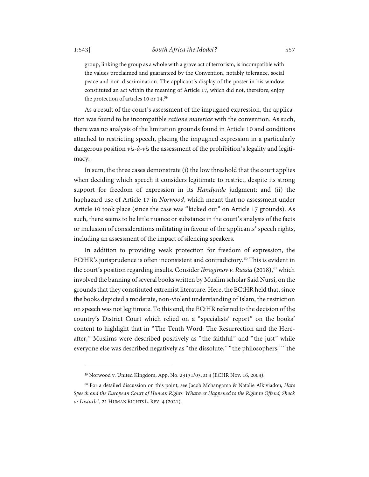group, linking the group as a whole with a grave act of terrorism, is incompatible with the values proclaimed and guaranteed by the Convention, notably tolerance, social peace and non-discrimination. The applicant's display of the poster in his window constituted an act within the meaning of Article 17, which did not, therefore, enjoy the protection of articles 10 or 14. [59](#page-14-0)

As a result of the court's assessment of the impugned expression, the application was found to be incompatible *ratione materiae* with the convention. As such, there was no analysis of the limitation grounds found in Article 10 and conditions attached to restricting speech, placing the impugned expression in a particularly dangerous position *vis-à-vis* the assessment of the prohibition's legality and legitimacy.

In sum, the three cases demonstrate (i) the low threshold that the court applies when deciding which speech it considers legitimate to restrict, despite its strong support for freedom of expression in its *Handyside* judgment; and (ii) the haphazard use of Article 17 in *Norwood*, which meant that no assessment under Article 10 took place (since the case was "kicked out" on Article 17 grounds). As such, there seems to be little nuance or substance in the court's analysis of the facts or inclusion of considerations militating in favour of the applicants' speech rights, including an assessment of the impact of silencing speakers.

In addition to providing weak protection for freedom of expression, the ECtHR's jurisprudence is often inconsistent and contradictory.[60](#page-14-1) This is evident in the court's position regarding insults. Consider *Ibragimov v. Russia* (2018), [61](#page-14-2) which involved the banning of several books written by Muslim scholar Said Nursî, on the grounds that they constituted extremist literature. Here, the ECtHR held that, since the books depicted a moderate, non-violent understanding of Islam, the restriction on speech was not legitimate. To this end, the ECtHR referred to the decision of the country's District Court which relied on a "specialists' report" on the books' content to highlight that in "The Tenth Word: The Resurrection and the Hereafter," Muslims were described positively as "the faithful" and "the just" while everyone else was described negatively as "the dissolute," "the philosophers," "the

<sup>59</sup> Norwood v. United Kingdom, App. No. 23131/03, at 4 (ECHR Nov. 16, 2004).

<span id="page-14-2"></span><span id="page-14-1"></span><span id="page-14-0"></span><sup>60</sup> For a detailed discussion on this point, see Jacob Mchangama & Natalie Alkiviadou, *Hate Speech and the European Court of Human Rights: Whatever Happened to the Right to Offend, Shock or Disturb?*, 21 HUMAN RIGHTS L. REV. 4 (2021).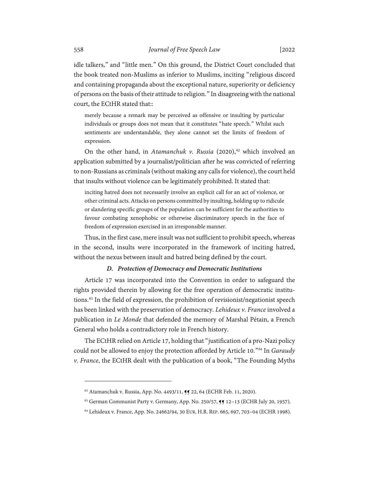idle talkers," and "little men." On this ground, the District Court concluded that the book treated non-Muslims as inferior to Muslims, inciting "religious discord and containing propaganda about the exceptional nature, superiority or deficiency of persons on the basis of their attitude to religion." In disagreeing with the national court, the ECtHR stated that::

merely because a remark may be perceived as offensive or insulting by particular individuals or groups does not mean that it constitutes "hate speech." Whilst such sentiments are understandable, they alone cannot set the limits of freedom of expression.

On the other hand, in *Atamanchuk v. Russia* (2020), [62](#page-15-1) which involved an application submitted by a journalist/politician after he was convicted of referring to non-Russians as criminals (without making any calls for violence), the court held that insults without violence can be legitimately prohibited. It stated that:

inciting hatred does not necessarily involve an explicit call for an act of violence, or other criminal acts. Attacks on persons committed by insulting, holding up to ridicule or slandering specific groups of the population can be sufficient for the authorities to favour combating xenophobic or otherwise discriminatory speech in the face of freedom of expression exercised in an irresponsible manner.

Thus, in the first case, mere insult was not sufficient to prohibit speech, whereas in the second, insults were incorporated in the framework of inciting hatred, without the nexus between insult and hatred being defined by the court.

#### *D. Protection of Democracy and Democratic Institutions*

<span id="page-15-0"></span>Article 17 was incorporated into the Convention in order to safeguard the rights provided therein by allowing for the free operation of democratic institutions. [63](#page-15-2) In the field of expression, the prohibition of revisionist/negationist speech has been linked with the preservation of democracy. *Lehideux v. France* involved a publication in *Le Monde* that defended the memory of Marshal Pétain, a French General who holds a contradictory role in French history.

The ECtHR relied on Article 17, holding that "justification of a pro-Nazi policy could not be allowed to enjoy the protection afforded by Article 10."[64](#page-15-3) In *Garaudy v. France*, the ECtHR dealt with the publication of a book, "The Founding Myths

<span id="page-15-1"></span><sup>62</sup> Atamanchuk v. Russia, App. No. 4493/11,  $\P$  22, 64 (ECHR Feb. 11, 2020).

<span id="page-15-3"></span><span id="page-15-2"></span> $63$  German Communist Party v. Germany, App. No. 250/57,  $\mathbb{F}$  12-13 (ECHR July 20, 1957).

<sup>64</sup> Lehideux v. France, App. No. 24662/94, 30 EUR. H.R. REP. 665, 697, 703–04 (ECHR 1998).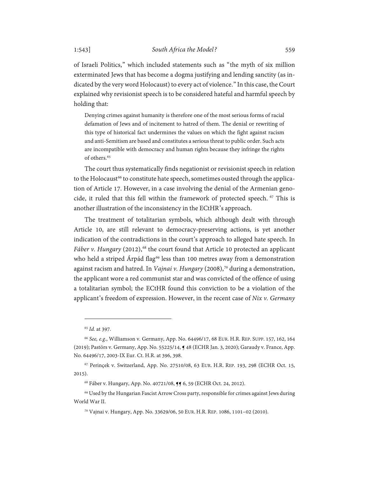of Israeli Politics," which included statements such as "the myth of six million exterminated Jews that has become a dogma justifying and lending sanctity (as indicated by the very word Holocaust) to every act of violence." In this case, the Court explained why revisionist speech is to be considered hateful and harmful speech by holding that:

Denying crimes against humanity is therefore one of the most serious forms of racial defamation of Jews and of incitement to hatred of them. The denial or rewriting of this type of historical fact undermines the values on which the fight against racism and anti-Semitism are based and constitutes a serious threat to public order. Such acts are incompatible with democracy and human rights because they infringe the rights of others. [65](#page-16-0)

The court thus systematically finds negationist or revisionist speech in relation to the Holocaust<sup>[66](#page-16-1)</sup> to constitute hate speech, sometimes ousted through the application of Article 17. However, in a case involving the denial of the Armenian geno-cide, it ruled that this fell within the framework of protected speech. <sup>[67](#page-16-2)</sup> This is another illustration of the inconsistency in the ECtHR's approach.

The treatment of totalitarian symbols, which although dealt with through Article 10, are still relevant to democracy-preserving actions, is yet another indication of the contradictions in the court's approach to alleged hate speech. In *Fáber v. Hungary* (2012),<sup>[68](#page-16-3)</sup> the court found that Article 10 protected an applicant who held a striped Árpád flag<sup>[69](#page-16-4)</sup> less than 100 metres away from a demonstration against racism and hatred. In *Vajnai v. Hungary* (2008),[70](#page-16-5) during a demonstration, the applicant wore a red communist star and was convicted of the offence of using a totalitarian symbol; the ECtHR found this conviction to be a violation of the applicant's freedom of expression. However, in the recent case of *Nix v. Germany* 

<sup>65</sup> *Id.* at 397.

<span id="page-16-1"></span><span id="page-16-0"></span><sup>66</sup> *See, e.g.*, Williamson v. Germany, App. No. 64496/17, 68 EUR. H.R. REP. SUPP. 157, 162, 164 (2019); Pastörs v. Germany, App. No. 55225/14, ¶ 48 (ECHR Jan. 3, 2020); Garaudy v. France, App. No. 64496/17, 2003-IX Eur. Ct. H.R. at 396, 398.

<span id="page-16-2"></span><sup>67</sup> Perinçek v. Switzerland, App. No. 27510/08, 63 EUR. H.R. REP. 193, 298 (ECHR Oct. 15, 2015).

<sup>68</sup> Fáber v. Hungary, App. No. 40721/08, ¶¶ 6, 59 (ECHR Oct. 24, 2012).

<span id="page-16-5"></span><span id="page-16-4"></span><span id="page-16-3"></span><sup>69</sup> Used by the Hungarian Fascist Arrow Cross party, responsible for crimes against Jews during World War II.

<sup>70</sup> Vajnai v. Hungary, App. No. 33629/06, 50 EUR. H.R. REP. 1086, 1101–02 (2010).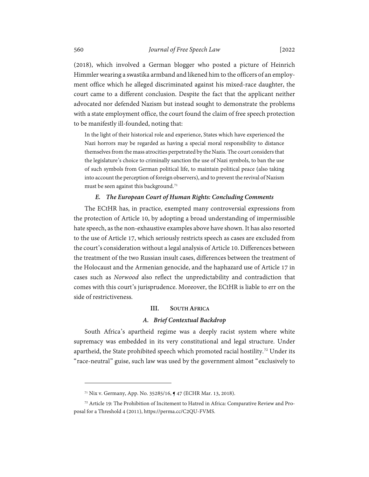(2018), which involved a German blogger who posted a picture of Heinrich Himmler wearing a swastika armband and likened him to the officers of an employment office which he alleged discriminated against his mixed-race daughter, the court came to a different conclusion. Despite the fact that the applicant neither advocated nor defended Nazism but instead sought to demonstrate the problems with a state employment office, the court found the claim of free speech protection to be manifestly ill-founded, noting that:

In the light of their historical role and experience, States which have experienced the Nazi horrors may be regarded as having a special moral responsibility to distance themselves from the mass atrocities perpetrated by the Nazis. The court considers that the legislature's choice to criminally sanction the use of Nazi symbols, to ban the use of such symbols from German political life, to maintain political peace (also taking into account the perception of foreign observers), and to prevent the revival of Nazism must be seen against this background. [71](#page-17-3)

#### *E. The European Court of Human Rights: Concluding Comments*

<span id="page-17-0"></span>The ECtHR has, in practice, exempted many controversial expressions from the protection of Article 10, by adopting a broad understanding of impermissible hate speech, as the non-exhaustive examples above have shown. It has also resorted to the use of Article 17, which seriously restricts speech as cases are excluded from the court's consideration without a legal analysis of Article 10. Differences between the treatment of the two Russian insult cases, differences between the treatment of the Holocaust and the Armenian genocide, and the haphazard use of Article 17 in cases such as *Norwood* also reflect the unpredictability and contradiction that comes with this court's jurisprudence. Moreover, the ECtHR is liable to err on the side of restrictiveness.

#### **III. SOUTH AFRICA**

#### *A. Brief Contextual Backdrop*

<span id="page-17-2"></span><span id="page-17-1"></span>South Africa's apartheid regime was a deeply racist system where white supremacy was embedded in its very constitutional and legal structure. Under apartheid, the State prohibited speech which promoted racial hostility.<sup>[72](#page-17-4)</sup> Under its "race-neutral" guise, such law was used by the government almost "exclusively to

<sup>71</sup> Nix v. Germany, App. No. 35285/16, ¶ 47 (ECHR Mar. 13, 2018).

<span id="page-17-4"></span><span id="page-17-3"></span><sup>72</sup> Article 19: The Prohibition of Incitement to Hatred in Africa: Comparative Review and Proposal for a Threshold 4 (2011), https://perma.cc/C2QU-FVMS.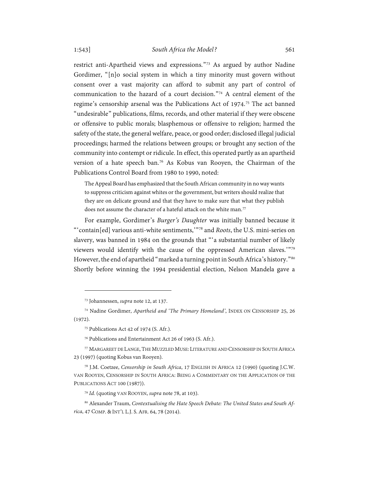restrict anti-Apartheid views and expressions."[73](#page-18-1) As argued by author Nadine Gordimer, "[n]o social system in which a tiny minority must govern without consent over a vast majority can afford to submit any part of control of communication to the hazard of a court decision."[74](#page-18-2) A central element of the regime's censorship arsenal was the Publications Act of 1974.[75](#page-18-3) The act banned "undesirable" publications, films, records, and other material if they were obscene or offensive to public morals; blasphemous or offensive to religion; harmed the safety of the state, the general welfare, peace, or good order; disclosed illegal judicial proceedings; harmed the relations between groups; or brought any section of the community into contempt or ridicule. In effect, this operated partly as an apartheid version of a hate speech ban.[76](#page-18-4) As Kobus van Rooyen, the Chairman of the Publications Control Board from 1980 to 1990, noted:

<span id="page-18-0"></span>The Appeal Board has emphasized that the South African community in no way wants to suppress criticism against whites or the government, but writers should realize that they are on delicate ground and that they have to make sure that what they publish does not assume the character of a hateful attack on the white man.<sup>[77](#page-18-5)</sup>

For example, Gordimer's *Burger's Daughter* was initially banned because it "'contain[ed] various anti-white sentiments,'"[78](#page-18-6) and *Roots*, the U.S. mini-series on slavery, was banned in 1984 on the grounds that "'a substantial number of likely viewers would identify with the cause of the oppressed American slaves.'"[79](#page-18-7) However, the end of apartheid "marked a turning point in South Africa's history."<sup>[80](#page-18-8)</sup> Shortly before winning the 1994 presidential election, Nelson Mandela gave a

<sup>73</sup> Johannessen, *supra* not[e 12,](#page-4-5) at 137.

<span id="page-18-3"></span><span id="page-18-2"></span><span id="page-18-1"></span><sup>74</sup> Nadine Gordimer, *Apartheid and 'The Primary Homeland'*, INDEX ON CENSORSHIP 25, 26 (1972).

<sup>75</sup> Publications Act 42 of 1974 (S. Afr.).

<sup>76</sup> Publications and Entertainment Act 26 of 1963 (S. Afr.).

<span id="page-18-5"></span><span id="page-18-4"></span><sup>77</sup> MARGAREET DE LANGE, THE MUZZLED MUSE: LITERATURE AND CENSORSHIP IN SOUTH AFRICA 23 (1997) (quoting Kobus van Rooyen).

<span id="page-18-6"></span><sup>78</sup> J.M. Coetzee, *Censorship in South Africa*, 17 ENGLISH IN AFRICA 12 (1990) (quoting J.C.W. VAN ROOYEN, CENSORSHIP IN SOUTH AFRICA: BEING A COMMENTARY ON THE APPLICATION OF THE PUBLICATIONS ACT 100 (1987)).

<sup>79</sup> *Id.* (quoting VAN ROOYEN, *supra* not[e 78,](#page-18-0) at 103).

<span id="page-18-8"></span><span id="page-18-7"></span><sup>80</sup> Alexander Traum, *Contextualising the Hate Speech Debate: The United States and South Africa*, 47 COMP. &INT'L L.J. S. AFR. 64, 78 (2014).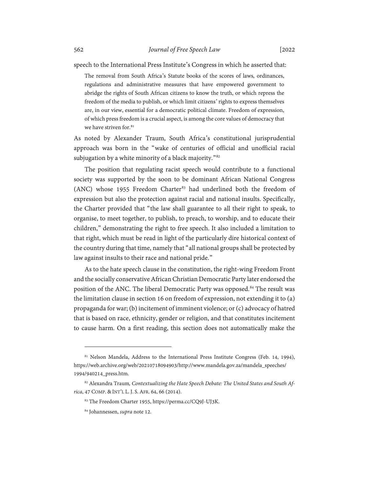speech to the International Press Institute's Congress in which he asserted that:

The removal from South Africa's Statute books of the scores of laws, ordinances, regulations and administrative measures that have empowered government to abridge the rights of South African citizens to know the truth, or which repress the freedom of the media to publish, or which limit citizens' rights to express themselves are, in our view, essential for a democratic political climate. Freedom of expression, of which press freedom is a crucial aspect, is among the core values of democracy that we have striven for. [81](#page-19-0)

As noted by Alexander Traum, South Africa's constitutional jurisprudential approach was born in the "wake of centuries of official and unofficial racial subjugation by a white minority of a black majority."<sup>[82](#page-19-1)</sup>

The position that regulating racist speech would contribute to a functional society was supported by the soon to be dominant African National Congress (ANC) whose 1955 Freedom Charter $83$  had underlined both the freedom of expression but also the protection against racial and national insults. Specifically, the Charter provided that "the law shall guarantee to all their right to speak, to organise, to meet together, to publish, to preach, to worship, and to educate their children," demonstrating the right to free speech. It also included a limitation to that right, which must be read in light of the particularly dire historical context of the country during that time, namely that "all national groups shall be protected by law against insults to their race and national pride."

As to the hate speech clause in the constitution, the right-wing Freedom Front and the socially conservative African Christian Democratic Party later endorsed the position of the ANC. The liberal Democratic Party was opposed.<sup>[84](#page-19-3)</sup> The result was the limitation clause in section 16 on freedom of expression, not extending it to (a) propaganda for war; (b) incitement of imminent violence; or (c) advocacy of hatred that is based on race, ethnicity, gender or religion, and that constitutes incitement to cause harm. On a first reading, this section does not automatically make the

<span id="page-19-0"></span><sup>81</sup> Nelson Mandela, Address to the International Press Institute Congress (Feb. 14, 1994), https://web.archive.org/web/20210718094903/http://www.mandela.gov.za/mandela\_speeches/ 1994/940214\_press.htm.

<span id="page-19-3"></span><span id="page-19-2"></span><span id="page-19-1"></span><sup>82</sup> Alexandra Traum*, Contextualizing the Hate Speech Debate: The United States and South Africa*, 47 COMP. &INT'L L. J. S. AFR. 64, 66 (2014).

<sup>83</sup> The Freedom Charter 1955, https://perma.cc/CQ9J-UJ3K.

<sup>84</sup> Johannessen, *supra* not[e 12.](#page-4-5)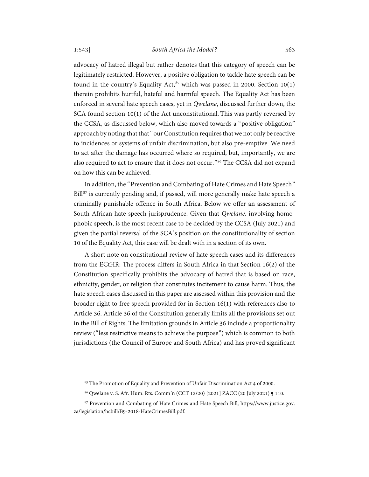advocacy of hatred illegal but rather denotes that this category of speech can be legitimately restricted. However, a positive obligation to tackle hate speech can be found in the country's Equality Act, [85](#page-20-0) which was passed in 2000. Section 10(1) therein prohibits hurtful, hateful and harmful speech. The Equality Act has been enforced in several hate speech cases, yet in *Qwelane*, discussed further down, the SCA found section 10(1) of the Act unconstitutional. This was partly reversed by the CCSA, as discussed below, which also moved towards a "positive obligation" approach by noting that that "our Constitution requires that we not only be reactive to incidences or systems of unfair discrimination, but also pre-emptive. We need to act after the damage has occurred where so required, but, importantly, we are also required to act to ensure that it does not occur."<sup>[86](#page-20-1)</sup> The CCSA did not expand on how this can be achieved.

In addition, the "Prevention and Combating of Hate Crimes and Hate Speech" Bill<sup>[87](#page-20-2)</sup> is currently pending and, if passed, will more generally make hate speech a criminally punishable offence in South Africa. Below we offer an assessment of South African hate speech jurisprudence. Given that *Qwelane,* involving homophobic speech, is the most recent case to be decided by the CCSA (July 2021) and given the partial reversal of the SCA's position on the constitutionality of section 10 of the Equality Act, this case will be dealt with in a section of its own.

A short note on constitutional review of hate speech cases and its differences from the ECtHR: The process differs in South Africa in that Section 16(2) of the Constitution specifically prohibits the advocacy of hatred that is based on race, ethnicity, gender, or religion that constitutes incitement to cause harm. Thus, the hate speech cases discussed in this paper are assessed within this provision and the broader right to free speech provided for in Section 16(1) with references also to Article 36. Article 36 of the Constitution generally limits all the provisions set out in the Bill of Rights. The limitation grounds in Article 36 include a proportionality review ("less restrictive means to achieve the purpose") which is common to both jurisdictions (the Council of Europe and South Africa) and has proved significant

<sup>&</sup>lt;sup>85</sup> The Promotion of Equality and Prevention of Unfair Discrimination Act 4 of 2000.

<sup>86</sup> Qwelane v. S. Afr. Hum. Rts. Comm'n (CCT 12/20) [2021] ZACC (20 July 2021) ¶ 110.

<span id="page-20-2"></span><span id="page-20-1"></span><span id="page-20-0"></span><sup>87</sup> Prevention and Combating of Hate Crimes and Hate Speech Bill, https://www.justice.gov. za/legislation/hcbill/B9-2018-HateCrimesBill.pdf.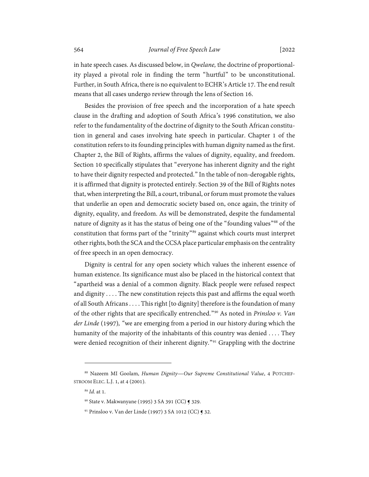in hate speech cases. As discussed below, in *Qwelane,* the doctrine of proportionality played a pivotal role in finding the term "hurtful" to be unconstitutional. Further, in South Africa, there is no equivalent to ECHR's Article 17. The end result means that all cases undergo review through the lens of Section 16.

Besides the provision of free speech and the incorporation of a hate speech clause in the drafting and adoption of South Africa's 1996 constitution, we also refer to the fundamentality of the doctrine of dignity to the South African constitution in general and cases involving hate speech in particular. Chapter 1 of the constitution refers to its founding principles with human dignity named as the first. Chapter 2, the Bill of Rights, affirms the values of dignity, equality, and freedom. Section 10 specifically stipulates that "everyone has inherent dignity and the right to have their dignity respected and protected." In the table of non-derogable rights, it is affirmed that dignity is protected entirely. Section 39 of the Bill of Rights notes that,when interpreting the Bill, a court, tribunal, or forum must promote the values that underlie an open and democratic society based on, once again, the trinity of dignity, equality, and freedom. As will be demonstrated, despite the fundamental nature of dignity as it has the status of being one of the "founding values"<sup>[88](#page-21-0)</sup> of the constitution that forms part of the "trinity"[89](#page-21-1) against which courts must interpret other rights, both the SCA and the CCSA place particular emphasis on the centrality of free speech in an open democracy.

Dignity is central for any open society which values the inherent essence of human existence. Its significance must also be placed in the historical context that "apartheid was a denial of a common dignity. Black people were refused respect and dignity . . . . The new constitution rejects this past and affirms the equal worth of all South Africans . . . . This right [to dignity] therefore is the foundation of many of the other rights that are specifically entrenched."[90](#page-21-2) As noted in *Prinsloo v. Van der Linde* (1997)*, "*we are emerging from a period in our history during which the humanity of the majority of the inhabitants of this country was denied .... They were denied recognition of their inherent dignity."<sup>[91](#page-21-3)</sup> Grappling with the doctrine

<span id="page-21-3"></span><span id="page-21-2"></span><span id="page-21-1"></span><span id="page-21-0"></span><sup>88</sup> Nazeem MI Goolam, *Human Dignity—Our Supreme Constitutional Value*, 4 POTCHEF-STROOM ELEC. L.J. 1, at 4 (2001).

<sup>89</sup> *Id.* at 1.

<sup>90</sup> State v. Makwanyane (1995) 3 SA 391 (CC) ¶ 329.

<sup>91</sup> Prinsloo v. Van der Linde (1997) 3 SA 1012 (CC) ¶ 32.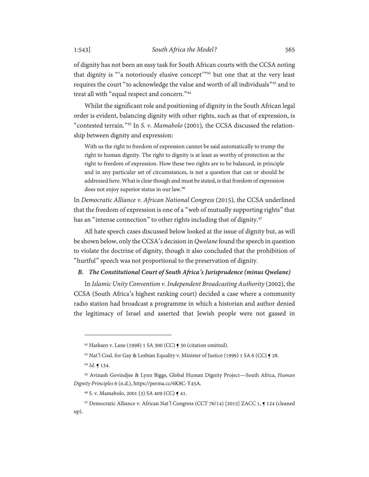of dignity has not been an easy task for South African courts with the CCSA noting

that dignity is "'a notoriously elusive concept'"[92](#page-22-1) but one that at the very least requires the court "to acknowledge the value and worth of all individuals"[93](#page-22-2) and to treat all with "equal respect and concern."[94](#page-22-3)

Whilst the significant role and positioning of dignity in the South African legal order is evident, balancing dignity with other rights, such as that of expression, is "contested terrain."[95](#page-22-4) In *S. v. Mamabolo* (2001)*,* the CCSA discussed the relationship between dignity and expression:

With us the right to freedom of expression cannot be said automatically to trump the right to human dignity. The right to dignity is at least as worthy of protection as the right to freedom of expression. How these two rights are to be balanced, in principle and in any particular set of circumstances, is not a question that can or should be addressed here. What is clear though and must be stated, is that freedom of expression does not enjoy superior status in our law.[96](#page-22-5)

In *Democratic Alliance v. African National Congress* (2015)*,* the CCSA underlined that the freedom of expression is one of a "web of mutually supporting rights" that has an "intense connection" to other rights including that of dignity.<sup>[97](#page-22-6)</sup>

All hate speech cases discussed below looked at the issue of dignity but, as will be shown below, only the CCSA's decision in *Qwelane* found the speech in question to violate the doctrine of dignity, though it also concluded that the prohibition of "hurtful" speech was not proportional to the preservation of dignity.

### <span id="page-22-0"></span>*B. The Constitutional Court of South Africa's Jurisprudence (minus Qwelane)*

In *Islamic Unity Convention v. Independent Broadcasting Authority* (2002), the CCSA (South Africa's highest ranking court) decided a case where a community radio station had broadcast a programme in which a historian and author denied the legitimacy of Israel and asserted that Jewish people were not gassed in

<sup>92</sup> Harksen v. Lane (1998) 1 SA 300 (CC) ¶ 50 (citation omitted).

<sup>93</sup> Nat'l Coal. for Gay & Lesbian Equality v. Minister of Justice (1999) 1 SA 6 (CC)  $\bigcirc$  28.

<sup>94</sup> *Id.* ¶ 134.

<span id="page-22-4"></span><span id="page-22-3"></span><span id="page-22-2"></span><span id="page-22-1"></span><sup>95</sup> Avinash Govindjee & Lynn Biggs, Global Human Dignity Project—South Africa, *Human Dignity Principles* 6 (n.d.), https://perma.cc/6K8C-Y45A.

<sup>96</sup> S. v. Mamabolo, 2001 (3) SA 409 (CC) ¶ 41.

<span id="page-22-6"></span><span id="page-22-5"></span><sup>97</sup> Democratic Alliance v. African Nat'l Congress (CCT 76/14) [2015] ZACC 1, ¶ 124 (cleaned up).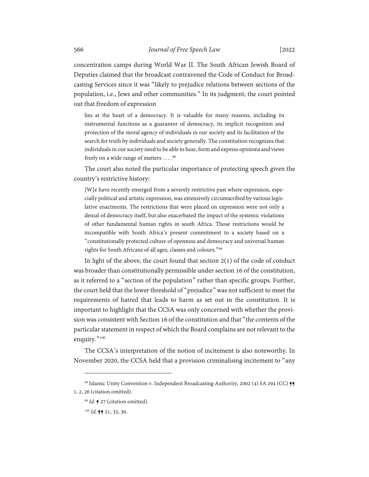concentration camps during World War II. The South African Jewish Board of Deputies claimed that the broadcast contravened the Code of Conduct for Broadcasting Services since it was "likely to prejudice relations between sections of the population, i.e., Jews and other communities." In its judgment, the court pointed out that freedom of expression

lies at the heart of a democracy. It is valuable for many reasons, including its instrumental functions as a guarantor of democracy, its implicit recognition and protection of the moral agency of individuals in our society and its facilitation of the search for truth by individuals and society generally. The constitution recognizes that individuals in our society need to be able to hear, form and express opinions and views freely on a wide range of matters . . . .  $^{98}$  $^{98}$  $^{98}$ 

The court also noted the particular importance of protecting speech given the country's restrictive history:

[W]e have recently emerged from a severely restrictive past where expression, especially political and artistic expression, was extensively circumscribed by various legislative enactments. The restrictions that were placed on expression were not only a denial of democracy itself, but also exacerbated the impact of the systemic violations of other fundamental human rights in south Africa. Those restrictions would be incompatible with South Africa's present commitment to a society based on a "constitutionally protected culture of openness and democracy and universal human rights for South Africans of all ages, classes and colours."[99](#page-23-1)

In light of the above, the court found that section 2(1) of the code of conduct was broader than constitutionally permissible under section 16 of the constitution, as it referred to a "section of the population" rather than specific groups. Further, the court held that the lower threshold of "prejudice" was not sufficient to meet the requirements of hatred that leads to harm as set out in the constitution. It is important to highlight that the CCSA was only concerned with whether the provision was consistent with Section 16 of the constitution and that "the contents of the particular statement in respect of which the Board complains are not relevant to the enquiry."<sup>[100](#page-23-2)</sup>

The CCSA's interpretation of the notion of incitement is also noteworthy. In November 2020, the CCSA held that a provision criminalising incitement to "any

<span id="page-23-2"></span><span id="page-23-1"></span><span id="page-23-0"></span><sup>98</sup> Islamic Unity Convention v. Independent Broadcasting Authority, 2002 (4) SA 294 (CC)  $\mathbf{F}$ 1, 2, 26 (citation omitted).

<sup>99</sup> *Id.* ¶ 27 (citation omitted).

<sup>&</sup>lt;sup>100</sup> *Id.* **11** 21, 35, 36.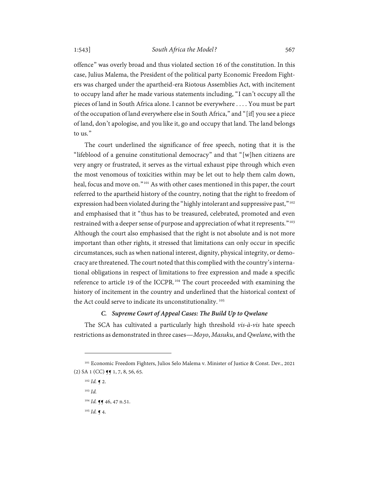offence" was overly broad and thus violated section 16 of the constitution. In this case, Julius Malema, the President of the political party Economic Freedom Fighters was charged under the apartheid-era Riotous Assemblies Act, with incitement to occupy land after he made various statements including, "I can't occupy all the pieces of land in South Africa alone. I cannot be everywhere . . . . You must be part of the occupation of land everywhere else in South Africa," and "[if[ you see a piece of land, don't apologise, and you like it, go and occupy that land. The land belongs to us."

The court underlined the significance of free speech, noting that it is the "lifeblood of a genuine constitutional democracy" and that "[w]hen citizens are very angry or frustrated, it serves as the virtual exhaust pipe through which even the most venomous of toxicities within may be let out to help them calm down, heal, focus and move on."[101](#page-24-1) As with other cases mentioned in this paper, the court referred to the apartheid history of the country, noting that the right to freedom of expression had been violated during the "highly intolerant and suppressive past,"<sup>[102](#page-24-2)</sup> and emphasised that it "thus has to be treasured, celebrated, promoted and even restrained with a deeper sense of purpose and appreciation of what it represents."<sup>[103](#page-24-3)</sup> Although the court also emphasised that the right is not absolute and is not more important than other rights, it stressed that limitations can only occur in specific circumstances, such as when national interest, dignity, physical integrity, or democracy are threatened. The court noted that this complied with the country's international obligations in respect of limitations to free expression and made a specific reference to article 19 of the ICCPR.[104](#page-24-4) The court proceeded with examining the history of incitement in the country and underlined that the historical context of the Act could serve to indicate its unconstitutionality. [105](#page-24-5)

## *C. Supreme Court of Appeal Cases: The Build Up to Qwelane*

<span id="page-24-0"></span>The SCA has cultivated a particularly high threshold *vis-à-vis* hate speech restrictions as demonstrated in three cases—*Moyo*, *Masuku*, and *Qwelane*, with the

<span id="page-24-4"></span><span id="page-24-3"></span><span id="page-24-2"></span><span id="page-24-1"></span><sup>101</sup> Economic Freedom Fighters, Julios Selo Malema v. Minister of Justice & Const. Dev., 2021  $(2)$  SA 1 (CC)  $\P$  $\P$  1, 7, 8, 56, 65.

<sup>102</sup> *Id.* ¶ 2.

<sup>103</sup> *Id.*

<sup>&</sup>lt;sup>104</sup> *Id.* **11** 46, 47 n.51.

<span id="page-24-5"></span> $105$  *Id.* **q** 4.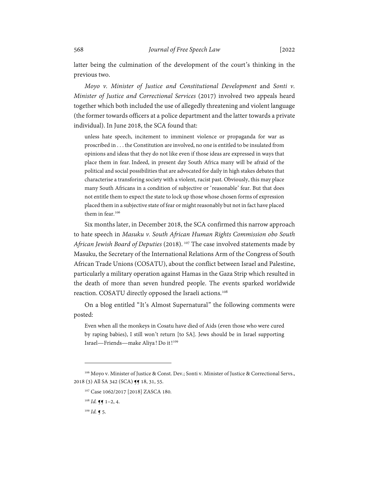latter being the culmination of the development of the court's thinking in the previous two.

*Moyo v. Minister of Justice and Constitutional Development* and *Sonti v. Minister of Justice and Correctional Services* (2017) involved two appeals heard together which both included the use of allegedly threatening and violent language (the former towards officers at a police department and the latter towards a private individual). In June 2018, the SCA found that:

unless hate speech, incitement to imminent violence or propaganda for war as proscribed in . . . the Constitution are involved, no one is entitled to be insulated from opinions and ideas that they do not like even if those ideas are expressed in ways that place them in fear. Indeed, in present day South Africa many will be afraid of the political and social possibilities that are advocated for daily in high stakes debates that characterise a transforing society with a violent, racist past. Obviously, this may place many South Africans in a condition of subjective or 'reasonable' fear. But that does not entitle them to expect the state to lock up those whose chosen forms of expression placed them in a subjective state of fear or might reasonably but not in fact have placed them in fear. [106](#page-25-0)

Six months later, in December 2018, the SCA confirmed this narrow approach to hate speech in *Masuku v. South African Human Rights Commission obo South African Jewish Board of Deputies* (2018). [107](#page-25-1) The case involved statements made by Masuku, the Secretary of the International Relations Arm of the Congress of South African Trade Unions (COSATU), about the conflict between Israel and Palestine, particularly a military operation against Hamas in the Gaza Strip which resulted in the death of more than seven hundred people. The events sparked worldwide reaction. COSATU directly opposed the Israeli actions.<sup>[108](#page-25-2)</sup>

On a blog entitled "It's Almost Supernatural" the following comments were posted:

Even when all the monkeys in Cosatu have died of Aids (even those who were cured by raping babies), I still won't return [to SA]. Jews should be in Israel supporting Israel—Friends—make Aliya! Do it!<sup>[109](#page-25-3)</sup>

 $109$  *Id.* **[** 5.

<span id="page-25-3"></span><span id="page-25-2"></span><span id="page-25-1"></span><span id="page-25-0"></span><sup>106</sup> Moyo v. Minister of Justice & Const. Dev.; Sonti v. Minister of Justice & Correctional Servs., 2018 (3) All SA 342 (SCA) **55** 18, 31, 55.

<sup>&</sup>lt;sup>107</sup> Case 1062/2017 [2018] ZASCA 180.

 $108$  *Id.* **q** 1-2, 4.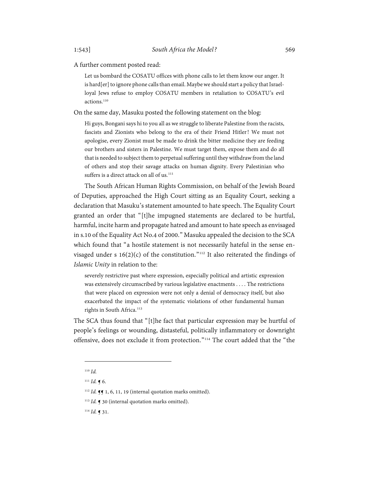A further comment posted read:

Let us bombard the COSATU offices with phone calls to let them know our anger. It is hard[er] to ignore phone calls than email. Maybe we should start a policy that Israelloyal Jews refuse to employ COSATU members in retaliation to COSATU's evil actions.<sup>[110](#page-26-0)</sup>

On the same day, Masuku posted the following statement on the blog:

Hi guys, Bongani says hi to you all as we struggle to liberate Palestine from the racists, fascists and Zionists who belong to the era of their Friend Hitler! We must not apologise, every Zionist must be made to drink the bitter medicine they are feeding our brothers and sisters in Palestine. We must target them, expose them and do all that is needed to subject them to perpetual suffering until they withdraw from the land of others and stop their savage attacks on human dignity. Every Palestinian who suffers is a direct attack on all of us.<sup>[111](#page-26-1)</sup>

The South African Human Rights Commission, on behalf of the Jewish Board of Deputies, approached the High Court sitting as an Equality Court, seeking a declaration that Masuku's statement amounted to hate speech. The Equality Court granted an order that "[t]he impugned statements are declared to be hurtful, harmful, incite harm and propagate hatred and amount to hate speech as envisaged in s.10 of the Equality Act No.4 of 2000." Masuku appealed the decision to the SCA which found that "a hostile statement is not necessarily hateful in the sense envisaged under s  $16(2)(c)$  of the constitution."<sup>[112](#page-26-2)</sup> It also reiterated the findings of *Islamic Unity* in relation to the:

severely restrictive past where expression, especially political and artistic expression was extensively circumscribed by various legislative enactments . . . . The restrictions that were placed on expression were not only a denial of democracy itself, but also exacerbated the impact of the systematic violations of other fundamental human rights in South Africa.<sup>[113](#page-26-3)</sup>

The SCA thus found that "[t]he fact that particular expression may be hurtful of people's feelings or wounding, distasteful, politically inflammatory or downright offensive, does not exclude it from protection."[114](#page-26-4) The court added that the "the

<span id="page-26-4"></span><span id="page-26-3"></span><sup>114</sup> *Id.* ¶ 31.

<sup>110</sup> *Id.*

<span id="page-26-2"></span><span id="page-26-1"></span><span id="page-26-0"></span><sup>111</sup> *Id.* ¶ 6.

<sup>&</sup>lt;sup>112</sup> *Id.* **¶ 1**, 6, 11, 19 (internal quotation marks omitted).

<sup>&</sup>lt;sup>113</sup> *Id.* **[** 30 (internal quotation marks omitted).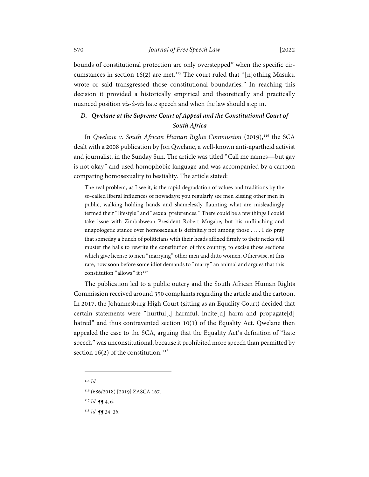bounds of constitutional protection are only overstepped" when the specific cir-cumstances in section 16(2) are met.<sup>[115](#page-27-1)</sup> The court ruled that "[n]othing Masuku wrote or said transgressed those constitutional boundaries." In reaching this decision it provided a historically empirical and theoretically and practically nuanced position *vis-à-vis* hate speech and when the law should step in.

# <span id="page-27-0"></span>*D. Qwelane at the Supreme Court of Appeal and the Constitutional Court of South Africa*

In *Qwelane v.* South African Human Rights Commission (2019),<sup>[116](#page-27-2)</sup> the SCA dealt with a 2008 publication by Jon Qwelane, a well-known anti-apartheid activist and journalist, in the Sunday Sun. The article was titled "Call me names—but gay is not okay" and used homophobic language and was accompanied by a cartoon comparing homosexuality to bestiality. The article stated:

The real problem, as I see it, is the rapid degradation of values and traditions by the so-called liberal influences of nowadays; you regularly see men kissing other men in public, walking holding hands and shamelessly flaunting what are misleadingly termed their "lifestyle" and "sexual preferences." There could be a few things I could take issue with Zimbabwean President Robert Mugabe, but his unflinching and unapologetic stance over homosexuals is definitely not among those . . . . I do pray that someday a bunch of politicians with their heads affixed firmly to their necks will muster the balls to rewrite the constitution of this country, to excise those sections which give license to men "marrying" other men and ditto women. Otherwise, at this rate, how soon before some idiot demands to "marry" an animal and argues that this constitution "allows" it?<sup>[117](#page-27-3)</sup>

The publication led to a public outcry and the South African Human Rights Commission received around 350 complaints regarding the article and the cartoon. In 2017, the Johannesburg High Court (sitting as an Equality Court) decided that certain statements were "hurtful[,] harmful, incite[d] harm and propagate[d] hatred" and thus contravented section 10(1) of the Equality Act. Qwelane then appealed the case to the SCA, arguing that the Equality Act's definition of "hate speech" was unconstitutional, because it prohibited more speech than permitted by section 16(2) of the constitution.  $118$ 

<span id="page-27-1"></span><sup>115</sup> *Id.*

<sup>116</sup> (686/2018) [2019] ZASCA 167.

<span id="page-27-4"></span><span id="page-27-3"></span><span id="page-27-2"></span> $117$  *Id.* **¶** 4, 6.

<sup>118</sup> *Id.* ¶¶ 34, 36.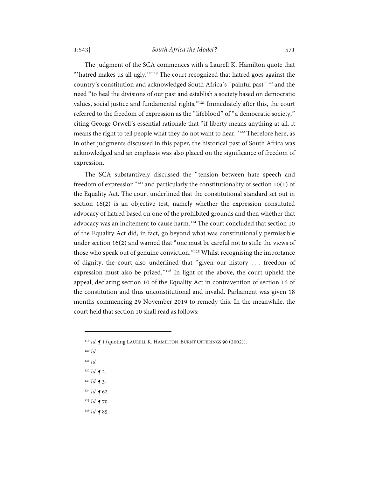The judgment of the SCA commences with a Laurell K. Hamilton quote that "'hatred makes us all ugly.'"<sup>[119](#page-28-0)</sup> The court recognized that hatred goes against the country's constitution and acknowledged South Africa's "painful past"[120](#page-28-1) and the need "to heal the divisions of our past and establish a society based on democratic values, social justice and fundamental rights."[121](#page-28-2) Immediately after this, the court referred to the freedom of expression as the "lifeblood" of "a democratic society," citing George Orwell's essential rationale that "if liberty means anything at all, it means the right to tell people what they do not want to hear."[122](#page-28-3) Therefore here, as in other judgments discussed in this paper, the historical past of South Africa was acknowledged and an emphasis was also placed on the significance of freedom of expression.

The SCA substantively discussed the "tension between hate speech and freedom of expression"<sup>[123](#page-28-4)</sup> and particularly the constitutionality of section 10(1) of the Equality Act. The court underlined that the constitutional standard set out in section 16(2) is an objective test, namely whether the expression constituted advocacy of hatred based on one of the prohibited grounds and then whether that advocacy was an incitement to cause harm.<sup>[124](#page-28-5)</sup> The court concluded that section 10 of the Equality Act did, in fact, go beyond what was constitutionally permissible under section 16(2) and warned that "one must be careful not to stifle the views of those who speak out of genuine conviction."[125](#page-28-6) Whilst recognising the importance of dignity, the court also underlined that "given our history . . . freedom of expression must also be prized."[126](#page-28-7) In light of the above, the court upheld the appeal, declaring section 10 of the Equality Act in contravention of section 16 of the constitution and thus unconstitutional and invalid. Parliament was given 18 months commencing 29 November 2019 to remedy this. In the meanwhile, the court held that section 10 shall read as follows:

- <span id="page-28-1"></span><sup>120</sup> *Id.*
- <span id="page-28-2"></span><sup>121</sup> *Id.*
- <span id="page-28-3"></span> $122$  *Id.*  $\bigcap$  2.
- <span id="page-28-4"></span><sup>123</sup> *Id.* ¶ 3.
- <span id="page-28-5"></span> $124$  *Id.*  $\blacklozenge$  62.
- <span id="page-28-6"></span><sup>125</sup> *Id.* ¶ 70.
- <span id="page-28-7"></span> $126$  *Id.* **q** 85.

<span id="page-28-0"></span><sup>&</sup>lt;sup>119</sup> *Id.* **[** 1 (quoting LAURELL K. HAMILTON, BURNT OFFERINGS 90 (2002)).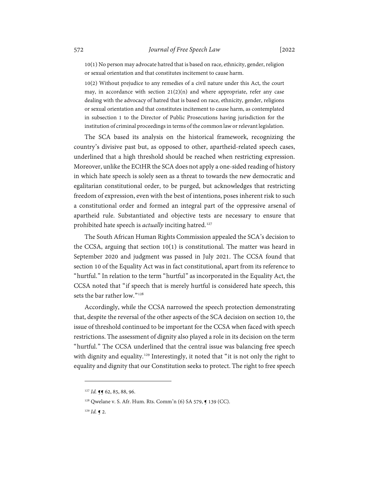10(1) No person may advocate hatred that is based on race, ethnicity, gender, religion or sexual orientation and that constitutes incitement to cause harm.

10(2) Without prejudice to any remedies of a civil nature under this Act, the court may, in accordance with section  $21(2)(n)$  and where appropriate, refer any case dealing with the advocacy of hatred that is based on race, ethnicity, gender, religions or sexual orientation and that constitutes incitement to cause harm, as contemplated in subsection 1 to the Director of Public Prosecutions having jurisdiction for the institution of criminal proceedings in terms of the common law or relevant legislation.

The SCA based its analysis on the historical framework, recognizing the country's divisive past but, as opposed to other, apartheid-related speech cases, underlined that a high threshold should be reached when restricting expression. Moreover, unlike the ECtHR the SCA does not apply a one-sided reading of history in which hate speech is solely seen as a threat to towards the new democratic and egalitarian constitutional order, to be purged, but acknowledges that restricting freedom of expression, even with the best of intentions, poses inherent risk to such a constitutional order and formed an integral part of the oppressive arsenal of apartheid rule. Substantiated and objective tests are necessary to ensure that prohibited hate speech is *actually* inciting hatred.<sup>[127](#page-29-0)</sup>

The South African Human Rights Commission appealed the SCA's decision to the CCSA, arguing that section 10(1) is constitutional. The matter was heard in September 2020 and judgment was passed in July 2021. The CCSA found that section 10 of the Equality Act was in fact constitutional, apart from its reference to "hurtful." In relation to the term "hurtful" as incorporated in the Equality Act, the CCSA noted that "if speech that is merely hurtful is considered hate speech, this sets the bar rather low."<sup>[128](#page-29-1)</sup>

Accordingly, while the CCSA narrowed the speech protection demonstrating that, despite the reversal of the other aspects of the SCA decision on section 10, the issue of threshold continued to be important for the CCSA when faced with speech restrictions. The assessment of dignity also played a role in its decision on the term "hurtful." The CCSA underlined that the central issue was balancing free speech with dignity and equality.<sup>[129](#page-29-2)</sup> Interestingly, it noted that "it is not only the right to equality and dignity that our Constitution seeks to protect. The right to free speech

<sup>127</sup> *Id.* **11** 62, 85, 88, 96.

<span id="page-29-1"></span><span id="page-29-0"></span><sup>128</sup> Qwelane v. S. Afr. Hum. Rts. Comm'n (6) SA 579, ¶ 139 (CC).

<span id="page-29-2"></span><sup>129</sup> *Id.* ¶ 2.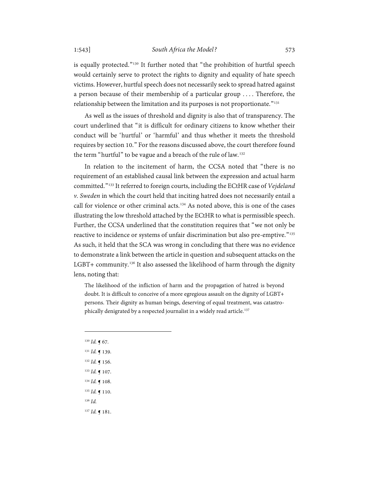is equally protected."[130](#page-30-0) It further noted that "the prohibition of hurtful speech would certainly serve to protect the rights to dignity and equality of hate speech victims. However, hurtful speech does not necessarily seek to spread hatred against a person because of their membership of a particular group . . . . Therefore, the relationship between the limitation and its purposes is not proportionate."<sup>[131](#page-30-1)</sup>

As well as the issues of threshold and dignity is also that of transparency. The court underlined that "it is difficult for ordinary citizens to know whether their conduct will be 'hurtful' or 'harmful' and thus whether it meets the threshold requires by section 10." For the reasons discussed above, the court therefore found the term "hurtful" to be vague and a breach of the rule of law.<sup>[132](#page-30-2)</sup>

In relation to the incitement of harm, the CCSA noted that "there is no requirement of an established causal link between the expression and actual harm committed."[133](#page-30-3) It referred to foreign courts, including the ECtHR case of *Vejdeland v. Sweden* in which the court held that inciting hatred does not necessarily entail a call for violence or other criminal acts.<sup>[134](#page-30-4)</sup> As noted above, this is one of the cases illustrating the low threshold attached by the ECtHR to what is permissible speech. Further, the CCSA underlined that the constitution requires that "we not only be reactive to incidence or systems of unfair discrimination but also pre-emptive."<sup>[135](#page-30-5)</sup> As such, it held that the SCA was wrong in concluding that there was no evidence to demonstrate a link between the article in question and subsequent attacks on the LGBT+ community.[136](#page-30-6) It also assessed the likelihood of harm through the dignity lens, noting that:

The likelihood of the infliction of harm and the propagation of hatred is beyond doubt. It is difficult to conceive of a more egregious assault on the dignity of LGBT+ persons. Their dignity as human beings, deserving of equal treatment, was catastrophically denigrated by a respected journalist in a widely read article. [137](#page-30-7)

- <span id="page-30-0"></span><sup>130</sup> *Id.* ¶ 67.
- <span id="page-30-1"></span><sup>131</sup> *Id.* ¶ 139.
- <span id="page-30-2"></span><sup>132</sup> *Id.* ¶ 156.
- <span id="page-30-3"></span><sup>133</sup> *Id.* ¶ 107.
- <span id="page-30-4"></span><sup>134</sup> *Id.* ¶ 108.
- <span id="page-30-5"></span><sup>135</sup> *Id.* ¶ 110.
- <span id="page-30-6"></span><sup>136</sup> *Id.*

<span id="page-30-7"></span><sup>137</sup> *Id.* ¶ 181.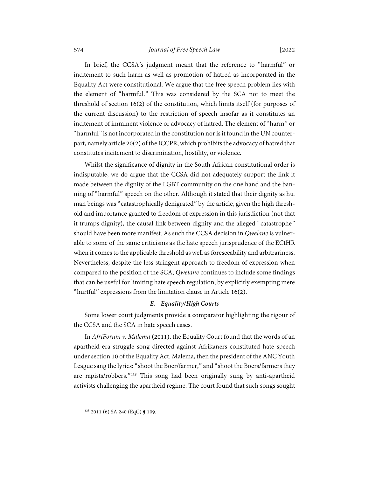# 574 *Journal of Free Speech Law* [2022

In brief, the CCSA's judgment meant that the reference to "harmful" or incitement to such harm as well as promotion of hatred as incorporated in the Equality Act were constitutional. We argue that the free speech problem lies with the element of "harmful." This was considered by the SCA not to meet the threshold of section 16(2) of the constitution, which limits itself (for purposes of the current discussion) to the restriction of speech insofar as it constitutes an incitement of imminent violence or advocacy of hatred. The element of "harm" or "harmful" is not incorporated in the constitution nor is it found in the UN counterpart, namely article 20(2) of the ICCPR, which prohibits the advocacy of hatred that constitutes incitement to discrimination, hostility, or violence.

Whilst the significance of dignity in the South African constitutional order is indisputable, we do argue that the CCSA did not adequately support the link it made between the dignity of the LGBT community on the one hand and the banning of "harmful" speech on the other. Although it stated that their dignity as human beings was "catastrophically denigrated" by the article, given the high threshold and importance granted to freedom of expression in this jurisdiction (not that it trumps dignity), the causal link between dignity and the alleged "catastrophe" should have been more manifest. As such the CCSA decision in *Qwelane* is vulnerable to some of the same criticisms as the hate speech jurisprudence of the ECtHR when it comes to the applicable threshold as well as foreseeability and arbitrariness. Nevertheless, despite the less stringent approach to freedom of expression when compared to the position of the SCA, *Qwelane* continues to include some findings that can be useful for limiting hate speech regulation, by explicitly exempting mere "hurtful" expressions from the limitation clause in Article 16(2).

### *E. Equality/High Courts*

<span id="page-31-0"></span>Some lower court judgments provide a comparator highlighting the rigour of the CCSA and the SCA in hate speech cases.

In *AfriForum v. Malema* (2011), the Equality Court found that the words of an apartheid-era struggle song directed against Afrikaners constituted hate speech under section 10 of the Equality Act. Malema, then the president of the ANC Youth League sang the lyrics: "shoot the Boer/farmer," and "shoot the Boers/farmers they are rapists/robbers."[138](#page-31-1) This song had been originally sung by anti-apartheid activists challenging the apartheid regime. The court found that such songs sought

<span id="page-31-1"></span> $138$  2011 (6) SA 240 (EqC)  $\blacktriangleleft$  109.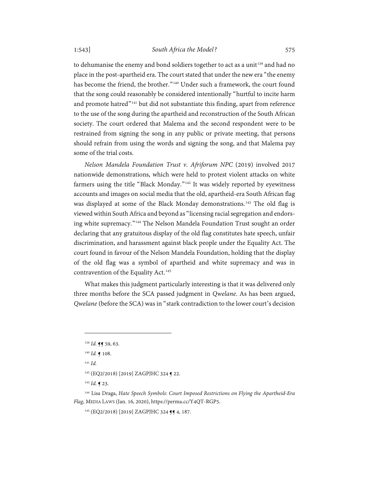to dehumanise the enemy and bond soldiers together to act as a unit<sup>[139](#page-32-0)</sup> and had no place in the post-apartheid era. The court stated that under the new era "the enemy has become the friend, the brother."<sup>[140](#page-32-1)</sup> Under such a framework, the court found that the song could reasonably be considered intentionally "hurtful to incite harm and promote hatred<sup>"[141](#page-32-2)</sup> but did not substantiate this finding, apart from reference to the use of the song during the apartheid and reconstruction of the South African society. The court ordered that Malema and the second respondent were to be restrained from signing the song in any public or private meeting, that persons should refrain from using the words and signing the song, and that Malema pay some of the trial costs.

<span id="page-32-7"></span>*Nelson Mandela Foundation Trust v. Afriforum NPC* (2019) involved 2017 nationwide demonstrations, which were held to protest violent attacks on white farmers using the title "Black Monday."<sup>[142](#page-32-3)</sup> It was widely reported by eyewitness accounts and images on social media that the old, apartheid-era South African flag was displayed at some of the Black Monday demonstrations.<sup>[143](#page-32-4)</sup> The old flag is viewed within South Africa and beyond as "licensing racial segregation and endorsing white supremacy."[144](#page-32-5) The Nelson Mandela Foundation Trust sought an order declaring that any gratuitous display of the old flag constitutes hate speech, unfair discrimination, and harassment against black people under the Equality Act. The court found in favour of the Nelson Mandela Foundation, holding that the display of the old flag was a symbol of apartheid and white supremacy and was in contravention of the Equality Act.<sup>[145](#page-32-6)</sup>

What makes this judgment particularly interesting is that it was delivered only three months before the SCA passed judgment in *Qwelane*. As has been argued, *Qwelane* (before the SCA) was in "stark contradiction to the lower court's decision

<sup>141</sup> *Id.*

<sup>143</sup> *Id.* ¶ 23.

<span id="page-32-6"></span><span id="page-32-5"></span><span id="page-32-4"></span><span id="page-32-3"></span><span id="page-32-2"></span><sup>144</sup> Lisa Draga, *Hate Speech Symbols: Court Imposed Restrictions on Flying the Apartheid-Era Flag*, MEDIA LAWS (Jan. 16, 2020), https://perma.cc/Y4QT-RGP5.

145 (EQ2/2018) [2019] ZAGPJHC 324 **14** 4, 187.

<sup>&</sup>lt;sup>139</sup> *Id.* **Jf** 59, 63.

<span id="page-32-1"></span><span id="page-32-0"></span><sup>140</sup> *Id.* ¶ 108.

<sup>142</sup> (EQ2/2018) [2019] ZAGPJHC 324 ¶ 22.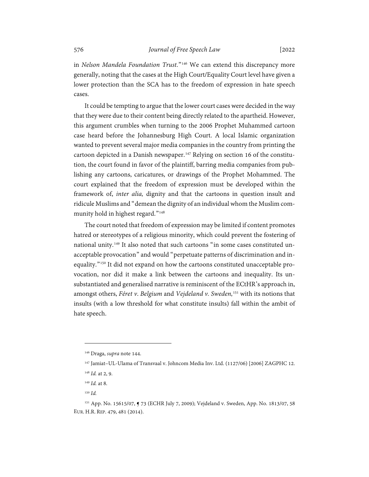in *Nelson Mandela Foundation Trust*."[146](#page-33-0) We can extend this discrepancy more generally, noting that the cases at the High Court/Equality Court level have given a lower protection than the SCA has to the freedom of expression in hate speech cases.

It could be tempting to argue that the lower court cases were decided in the way that they were due to their content being directly related to the apartheid. However, this argument crumbles when turning to the 2006 Prophet Muhammed cartoon case heard before the Johannesburg High Court. A local Islamic organization wanted to prevent several major media companies in the country from printing the cartoon depicted in a Danish newspaper.<sup>[147](#page-33-1)</sup> Relying on section 16 of the constitution, the court found in favor of the plaintiff, barring media companies from publishing any cartoons, caricatures, or drawings of the Prophet Mohammed. The court explained that the freedom of expression must be developed within the framework of, *inter alia,* dignity and that the cartoons in question insult and ridicule Muslims and "demean the dignity of an individual whom the Muslim com-munity hold in highest regard."<sup>[148](#page-33-2)</sup>

The court noted that freedom of expression may be limited if content promotes hatred or stereotypes of a religious minority, which could prevent the fostering of national unity.<sup>[149](#page-33-3)</sup> It also noted that such cartoons "in some cases constituted unacceptable provocation" and would "perpetuate patterns of discrimination and inequality."[150](#page-33-4) It did not expand on how the cartoons constituted unacceptable provocation, nor did it make a link between the cartoons and inequality. Its unsubstantiated and generalised narrative is reminiscent of the ECtHR's approach in, amongst others, *Féret v*. *Belgium* and *Vejdeland v. Sweden,*[151](#page-33-5) with its notions that insults (with a low threshold for what constitute insults) fall within the ambit of hate speech.

<sup>146</sup> Draga, *supra* not[e 144.](#page-32-7)

<span id="page-33-0"></span><sup>147</sup> Jamiat–UL-Ulama of Transvaal v. Johncom Media Inv. Ltd. (1127/06) [2006] ZAGPHC 12.

<sup>148</sup> *Id.* at 2, 9.

<sup>149</sup> *Id.* at 8.

<sup>150</sup> *Id.*

<span id="page-33-5"></span><span id="page-33-4"></span><span id="page-33-3"></span><span id="page-33-2"></span><span id="page-33-1"></span><sup>151</sup> App. No. 15615/07, ¶ 73 (ECHR July 7, 2009); Vejdeland v. Sweden, App. No. 1813/07, 58 EUR. H.R. REP. 479, 481 (2014).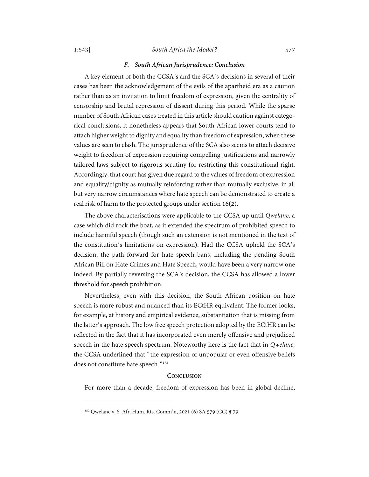#### *F. South African Jurisprudence: Conclusion*

<span id="page-34-0"></span>A key element of both the CCSA's and the SCA's decisions in several of their cases has been the acknowledgement of the evils of the apartheid era as a caution rather than as an invitation to limit freedom of expression, given the centrality of censorship and brutal repression of dissent during this period. While the sparse number of South African cases treated in this article should caution against categorical conclusions, it nonetheless appears that South African lower courts tend to attach higher weight to dignity and equality than freedom of expression, when these values are seen to clash. The jurisprudence of the SCA also seems to attach decisive weight to freedom of expression requiring compelling justifications and narrowly tailored laws subject to rigorous scrutiny for restricting this constitutional right. Accordingly, that court has given due regard to the values of freedom of expression and equality/dignity as mutually reinforcing rather than mutually exclusive, in all but very narrow circumstances where hate speech can be demonstrated to create a real risk of harm to the protected groups under section 16(2).

The above characterisations were applicable to the CCSA up until *Qwelane,* a case which did rock the boat, as it extended the spectrum of prohibited speech to include harmful speech (though such an extension is not mentioned in the text of the constitution's limitations on expression). Had the CCSA upheld the SCA's decision, the path forward for hate speech bans, including the pending South African Bill on Hate Crimes and Hate Speech, would have been a very narrow one indeed. By partially reversing the SCA's decision, the CCSA has allowed a lower threshold for speech prohibition.

Nevertheless, even with this decision, the South African position on hate speech is more robust and nuanced than its ECtHR equivalent. The former looks, for example, at history and empirical evidence, substantiation that is missing from the latter's approach. The low free speech protection adopted by the ECtHR can be reflected in the fact that it has incorporated even merely offensive and prejudiced speech in the hate speech spectrum. Noteworthy here is the fact that in *Qwelane,*  the CCSA underlined that "the expression of unpopular or even offensive beliefs does not constitute hate speech."<sup>[152](#page-34-2)</sup>

#### **CONCLUSION**

<span id="page-34-1"></span>For more than a decade, freedom of expression has been in global decline,

<span id="page-34-2"></span><sup>152</sup> Qwelane v. S. Afr. Hum. Rts. Comm'n, 2021 (6) SA 579 (CC) ¶ 79.